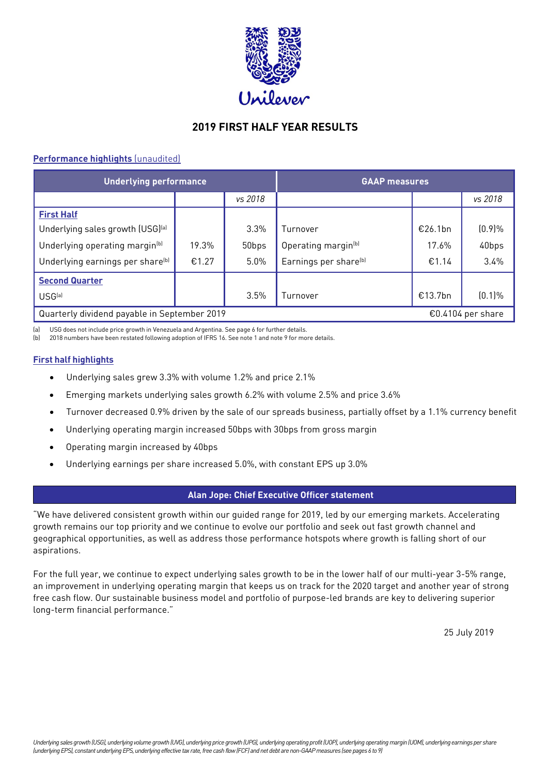

# **2019 FIRST HALF YEAR RESULTS**

# **Performance highlights** (unaudited)

| <b>Underlying performance</b>                |       |         | <b>GAAP measures</b>              |         |                   |  |
|----------------------------------------------|-------|---------|-----------------------------------|---------|-------------------|--|
|                                              |       | vs 2018 |                                   |         | vs 2018           |  |
| <b>First Half</b>                            |       |         |                                   |         |                   |  |
| Underlying sales growth (USG)[a]             |       | 3.3%    | Turnover                          | €26.1bn | (0.9%             |  |
| Underlying operating margin <sup>(b)</sup>   | 19.3% | 50bps   | Operating margin <sup>(b)</sup>   | 17.6%   | 40bps             |  |
| Underlying earnings per share <sup>(b)</sup> | €1.27 | 5.0%    | Earnings per share <sup>(b)</sup> | €1.14   | 3.4%              |  |
| <b>Second Quarter</b>                        |       |         |                                   |         |                   |  |
| USG <sup>(a)</sup>                           |       | 3.5%    | Turnover                          | €13.7bn | (0.1%             |  |
| Quarterly dividend payable in September 2019 |       |         |                                   |         | €0.4104 per share |  |

(a) USG does not include price growth in Venezuela and Argentina. See page 6 for further details.

(b) 2018 numbers have been restated following adoption of IFRS 16. See note 1 and note 9 for more details.

# **First half highlights**

- Underlying sales grew 3.3% with volume 1.2% and price 2.1%
- Emerging markets underlying sales growth 6.2% with volume 2.5% and price 3.6%
- Turnover decreased 0.9% driven by the sale of our spreads business, partially offset by a 1.1% currency benefit
- Underlying operating margin increased 50bps with 30bps from gross margin
- Operating margin increased by 40bps
- Underlying earnings per share increased 5.0%, with constant EPS up 3.0%

# **Alan Jope: Chief Executive Officer statement**

"We have delivered consistent growth within our guided range for 2019, led by our emerging markets. Accelerating growth remains our top priority and we continue to evolve our portfolio and seek out fast growth channel and geographical opportunities, as well as address those performance hotspots where growth is falling short of our aspirations.

For the full year, we continue to expect underlying sales growth to be in the lower half of our multi-year 3-5% range, an improvement in underlying operating margin that keeps us on track for the 2020 target and another year of strong free cash flow. Our sustainable business model and portfolio of purpose-led brands are key to delivering superior long-term financial performance."

25 July 2019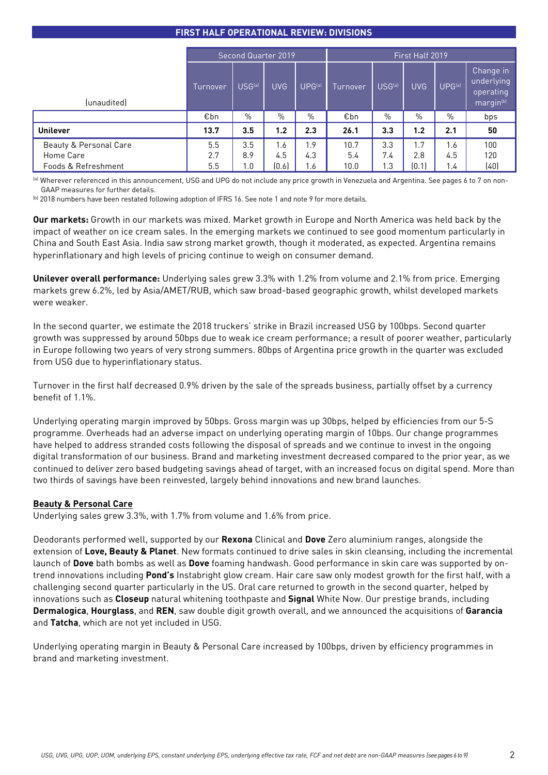## **FIRST HALF OPERATIONAL REVIEW: DIVISIONS**

|                        | Second Quarter 2019 |        |            | First Half 2019 |          |        |            |                |                                                               |
|------------------------|---------------------|--------|------------|-----------------|----------|--------|------------|----------------|---------------------------------------------------------------|
| (unaudited)            | Turnover            | USG(a) | <b>UVG</b> | <b>UPG</b> (a)  | Turnover | USG(a) | <b>UVG</b> | <b>UPG</b> (a) | Change in<br>underlying<br>operating<br>margin <sup>(b)</sup> |
|                        | €bn                 | $\%$   | $\%$       | $\%$            | €bn      | $\%$   | $\%$       | $\%$           | bps                                                           |
| <b>Unilever</b>        | 13.7                | 3.5    | 1.2        | 2.3             | 26.1     | 3.3    | 1.2        | 2.1            | 50                                                            |
| Beauty & Personal Care | 5.5                 | 3.5    | 1.6        | 1.9             | 10.7     | 3.3    | 1.7        | l.6            | 100                                                           |
| Home Care              | 2.7                 | 8.9    | 4.5        | 4.3             | 5.4      | 7.4    | 2.8        | 4.5            | 120                                                           |
| Foods & Refreshment    | 5.5                 | 1.0    | (0.6)      | 1.6             | 10.0     | 1.3    | (0.1)      | $\overline{4}$ | (40)                                                          |

<sup>(a)</sup> Wherever referenced in this announcement, USG and UPG do not include any price growth in Venezuela and Argentina. See pages 6 to 7 on non-GAAP measures for further details.

(b) 2018 numbers have been restated following adoption of IFRS 16. See note 1 and note 9 for more details.

**Our markets:** Growth in our markets was mixed. Market growth in Europe and North America was held back by the impact of weather on ice cream sales. In the emerging markets we continued to see good momentum particularly in China and South East Asia. India saw strong market growth, though it moderated, as expected. Argentina remains hyperinflationary and high levels of pricing continue to weigh on consumer demand.

**Unilever overall performance:** Underlying sales grew 3.3% with 1.2% from volume and 2.1% from price. Emerging markets grew 6.2%, led by Asia/AMET/RUB, which saw broad-based geographic growth, whilst developed markets were weaker.

In the second quarter, we estimate the 2018 truckers' strike in Brazil increased USG by 100bps. Second quarter growth was suppressed by around 50bps due to weak ice cream performance; a result of poorer weather, particularly in Europe following two years of very strong summers. 80bps of Argentina price growth in the quarter was excluded from USG due to hyperinflationary status.

Turnover in the first half decreased 0.9% driven by the sale of the spreads business, partially offset by a currency benefit of 1.1%.

Underlying operating margin improved by 50bps. Gross margin was up 30bps, helped by efficiencies from our 5-S programme. Overheads had an adverse impact on underlying operating margin of 10bps. Our change programmes have helped to address stranded costs following the disposal of spreads and we continue to invest in the ongoing digital transformation of our business. Brand and marketing investment decreased compared to the prior year, as we continued to deliver zero based budgeting savings ahead of target, with an increased focus on digital spend. More than two thirds of savings have been reinvested, largely behind innovations and new brand launches.

## **Beauty & Personal Care**

Underlying sales grew 3.3%, with 1.7% from volume and 1.6% from price.

Deodorants performed well, supported by our **Rexona** Clinical and **Dove** Zero aluminium ranges, alongside the extension of **Love, Beauty & Planet**. New formats continued to drive sales in skin cleansing, including the incremental launch of **Dove** bath bombs as well as **Dove** foaming handwash. Good performance in skin care was supported by ontrend innovations including **Pond's** Instabright glow cream. Hair care saw only modest growth for the first half, with a challenging second quarter particularly in the US. Oral care returned to growth in the second quarter, helped by innovations such as **Closeup** natural whitening toothpaste and **Signal** White Now. Our prestige brands, including **Dermalogica**, **Hourglass**, and **REN**, saw double digit growth overall, and we announced the acquisitions of **Garancia** and **Tatcha**, which are not yet included in USG.

Underlying operating margin in Beauty & Personal Care increased by 100bps, driven by efficiency programmes in brand and marketing investment.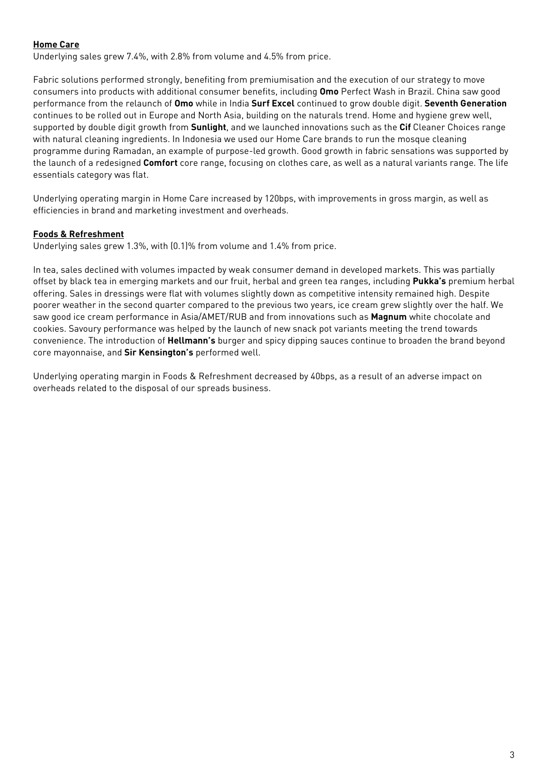# **Home Care**

Underlying sales grew 7.4%, with 2.8% from volume and 4.5% from price.

Fabric solutions performed strongly, benefiting from premiumisation and the execution of our strategy to move consumers into products with additional consumer benefits, including **Omo** Perfect Wash in Brazil. China saw good performance from the relaunch of **Omo** while in India **Surf Excel** continued to grow double digit. **Seventh Generation** continues to be rolled out in Europe and North Asia, building on the naturals trend. Home and hygiene grew well, supported by double digit growth from **Sunlight**, and we launched innovations such as the **Cif** Cleaner Choices range with natural cleaning ingredients. In Indonesia we used our Home Care brands to run the mosque cleaning programme during Ramadan, an example of purpose-led growth. Good growth in fabric sensations was supported by the launch of a redesigned **Comfort** core range, focusing on clothes care, as well as a natural variants range. The life essentials category was flat.

Underlying operating margin in Home Care increased by 120bps, with improvements in gross margin, as well as efficiencies in brand and marketing investment and overheads.

## **Foods & Refreshment**

Underlying sales grew 1.3%, with (0.1)% from volume and 1.4% from price.

In tea, sales declined with volumes impacted by weak consumer demand in developed markets. This was partially offset by black tea in emerging markets and our fruit, herbal and green tea ranges, including **Pukka's** premium herbal offering. Sales in dressings were flat with volumes slightly down as competitive intensity remained high. Despite poorer weather in the second quarter compared to the previous two years, ice cream grew slightly over the half. We saw good ice cream performance in Asia/AMET/RUB and from innovations such as **Magnum** white chocolate and cookies. Savoury performance was helped by the launch of new snack pot variants meeting the trend towards convenience. The introduction of **Hellmann's** burger and spicy dipping sauces continue to broaden the brand beyond core mayonnaise, and **Sir Kensington's** performed well.

Underlying operating margin in Foods & Refreshment decreased by 40bps, as a result of an adverse impact on overheads related to the disposal of our spreads business.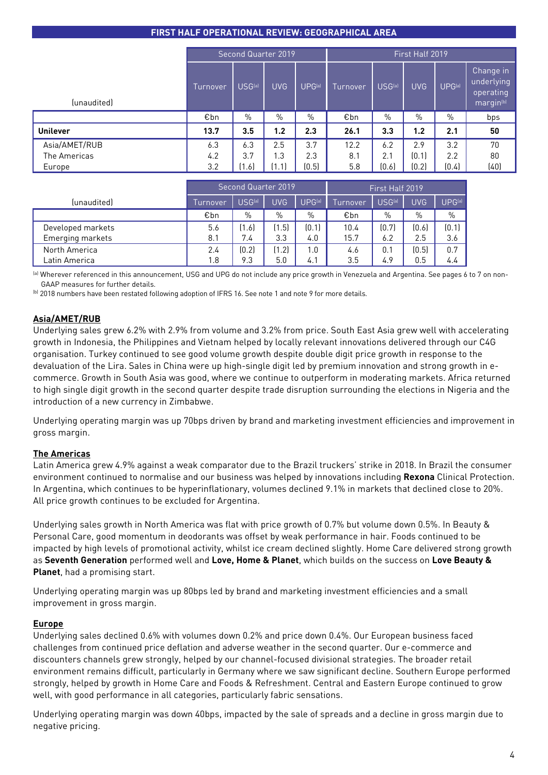# **FIRST HALF OPERATIONAL REVIEW: GEOGRAPHICAL AREA**

|                                         | Second Quarter 2019 |                           |                     | First Half 2019     |                    |                     |                       |                           |                                                               |
|-----------------------------------------|---------------------|---------------------------|---------------------|---------------------|--------------------|---------------------|-----------------------|---------------------------|---------------------------------------------------------------|
| (unaudited)                             | Turnover            | <b>USG</b> <sup>[a]</sup> | <b>UVG</b>          | <b>UPG</b> (a)      | Turnover           | USG <sup>(a)</sup>  | <b>UVG</b>            | <b>UPG</b> <sup>[a]</sup> | Change in<br>underlying<br>operating<br>margin <sup>(b)</sup> |
|                                         | €bn                 | $\%$                      | $\%$                | $\%$                | €bn                | %                   | $\%$                  | $\%$                      | bps                                                           |
| <b>Unilever</b>                         | 13.7                | 3.5                       | 1.2                 | 2.3                 | 26.1               | 3.3                 | 1.2                   | 2.1                       | 50                                                            |
| Asia/AMET/RUB<br>The Americas<br>Europe | 6.3<br>4.2<br>3.2   | 6.3<br>3.7<br>(1.6)       | 2.5<br>1.3<br>(1.1) | 3.7<br>2.3<br>(0.5) | 12.2<br>8.1<br>5.8 | 6.2<br>2.1<br>(0.6) | 2.9<br>(0.1)<br>(0.2) | 3.2<br>2.2<br>(0.4)       | 70<br>80<br>(40)                                              |

|                   | Second Quarter 2019 |                    |            |                           | First Half 2019 |                           |            |                    |
|-------------------|---------------------|--------------------|------------|---------------------------|-----------------|---------------------------|------------|--------------------|
| (unaudited)       | Turnoven            | USG <sup>[a]</sup> | <b>UVG</b> | <b>UPG</b> <sup>[a]</sup> | Turnover        | <b>USG</b> <sup>[a]</sup> | <b>UVG</b> | UPG <sup>[a]</sup> |
|                   | €bn                 | %                  | $\%$       | %                         | €bn             | %                         | %          | $\%$               |
| Developed markets | 5.6                 | (1.6)              | (1.5)      | [0.1]                     | 10.4            | (0.7)                     | (0.6)      | (0.1)              |
| Emerging markets  | 8.1                 | 7.4                | 3.3        | 4.0                       | 15.7            | 6.2                       | 2.5        | 3.6                |
| North America     | 2.4                 | (0.2)              | (1.2)      | 1.0                       | 4.6             | 0.1                       | [0.5]      | 0.7                |
| Latin America     | 1.8                 | 9.3                | 5.0        | 4.1                       | 3.5             | 4.9                       | 0.5        | 4.4                |

<sup>(a)</sup> Wherever referenced in this announcement, USG and UPG do not include any price growth in Venezuela and Argentina. See pages 6 to 7 on non-GAAP measures for further details.

(b) 2018 numbers have been restated following adoption of IFRS 16. See note 1 and note 9 for more details.

## **Asia/AMET/RUB**

Underlying sales grew 6.2% with 2.9% from volume and 3.2% from price. South East Asia grew well with accelerating growth in Indonesia, the Philippines and Vietnam helped by locally relevant innovations delivered through our C4G organisation. Turkey continued to see good volume growth despite double digit price growth in response to the devaluation of the Lira. Sales in China were up high-single digit led by premium innovation and strong growth in ecommerce. Growth in South Asia was good, where we continue to outperform in moderating markets. Africa returned to high single digit growth in the second quarter despite trade disruption surrounding the elections in Nigeria and the introduction of a new currency in Zimbabwe.

Underlying operating margin was up 70bps driven by brand and marketing investment efficiencies and improvement in gross margin.

## **The Americas**

Latin America grew 4.9% against a weak comparator due to the Brazil truckers' strike in 2018. In Brazil the consumer environment continued to normalise and our business was helped by innovations including **Rexona** Clinical Protection. In Argentina, which continues to be hyperinflationary, volumes declined 9.1% in markets that declined close to 20%. All price growth continues to be excluded for Argentina.

Underlying sales growth in North America was flat with price growth of 0.7% but volume down 0.5%. In Beauty & Personal Care, good momentum in deodorants was offset by weak performance in hair. Foods continued to be impacted by high levels of promotional activity, whilst ice cream declined slightly. Home Care delivered strong growth as **Seventh Generation** performed well and **Love, Home & Planet**, which builds on the success on **Love Beauty & Planet**, had a promising start.

Underlying operating margin was up 80bps led by brand and marketing investment efficiencies and a small improvement in gross margin.

## **Europe**

Underlying sales declined 0.6% with volumes down 0.2% and price down 0.4%. Our European business faced challenges from continued price deflation and adverse weather in the second quarter. Our e-commerce and discounters channels grew strongly, helped by our channel-focused divisional strategies. The broader retail environment remains difficult, particularly in Germany where we saw significant decline. Southern Europe performed strongly, helped by growth in Home Care and Foods & Refreshment. Central and Eastern Europe continued to grow well, with good performance in all categories, particularly fabric sensations.

Underlying operating margin was down 40bps, impacted by the sale of spreads and a decline in gross margin due to negative pricing.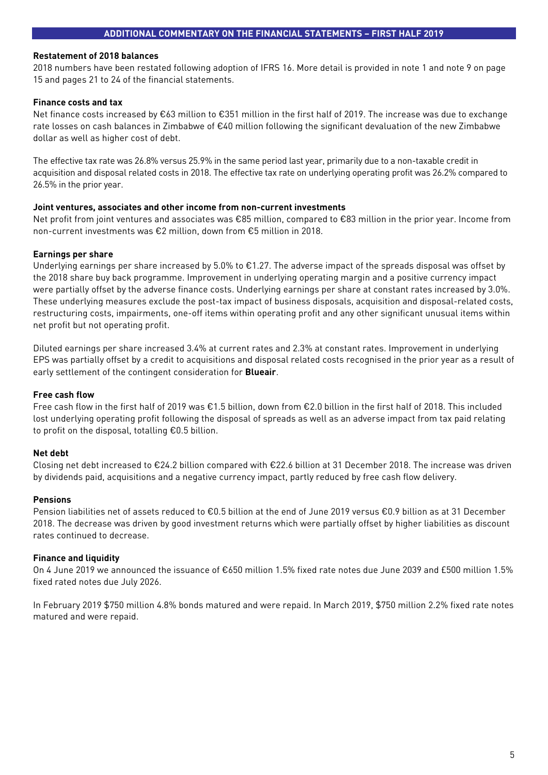## **Restatement of 2018 balances**

2018 numbers have been restated following adoption of IFRS 16. More detail is provided in note 1 and note 9 on page 15 and pages 21 to 24 of the financial statements.

## **Finance costs and tax**

Net finance costs increased by €63 million to €351 million in the first half of 2019. The increase was due to exchange rate losses on cash balances in Zimbabwe of €40 million following the significant devaluation of the new Zimbabwe dollar as well as higher cost of debt.

The effective tax rate was 26.8% versus 25.9% in the same period last year, primarily due to a non-taxable credit in acquisition and disposal related costs in 2018. The effective tax rate on underlying operating profit was 26.2% compared to 26.5% in the prior year.

## **Joint ventures, associates and other income from non-current investments**

Net profit from joint ventures and associates was €85 million, compared to €83 million in the prior year. Income from non-current investments was €2 million, down from €5 million in 2018.

## **Earnings per share**

Underlying earnings per share increased by 5.0% to €1.27. The adverse impact of the spreads disposal was offset by the 2018 share buy back programme. Improvement in underlying operating margin and a positive currency impact were partially offset by the adverse finance costs. Underlying earnings per share at constant rates increased by 3.0%. These underlying measures exclude the post-tax impact of business disposals, acquisition and disposal-related costs, restructuring costs, impairments, one-off items within operating profit and any other significant unusual items within net profit but not operating profit.

Diluted earnings per share increased 3.4% at current rates and 2.3% at constant rates. Improvement in underlying EPS was partially offset by a credit to acquisitions and disposal related costs recognised in the prior year as a result of early settlement of the contingent consideration for **Blueair**.

## **Free cash flow**

Free cash flow in the first half of 2019 was €1.5 billion, down from €2.0 billion in the first half of 2018. This included lost underlying operating profit following the disposal of spreads as well as an adverse impact from tax paid relating to profit on the disposal, totalling €0.5 billion.

## **Net debt**

Closing net debt increased to €24.2 billion compared with €22.6 billion at 31 December 2018. The increase was driven by dividends paid, acquisitions and a negative currency impact, partly reduced by free cash flow delivery.

## **Pensions**

Pension liabilities net of assets reduced to €0.5 billion at the end of June 2019 versus €0.9 billion as at 31 December 2018. The decrease was driven by good investment returns which were partially offset by higher liabilities as discount rates continued to decrease.

## **Finance and liquidity**

On 4 June 2019 we announced the issuance of €650 million 1.5% fixed rate notes due June 2039 and £500 million 1.5% fixed rated notes due July 2026.

In February 2019 \$750 million 4.8% bonds matured and were repaid. In March 2019, \$750 million 2.2% fixed rate notes matured and were repaid.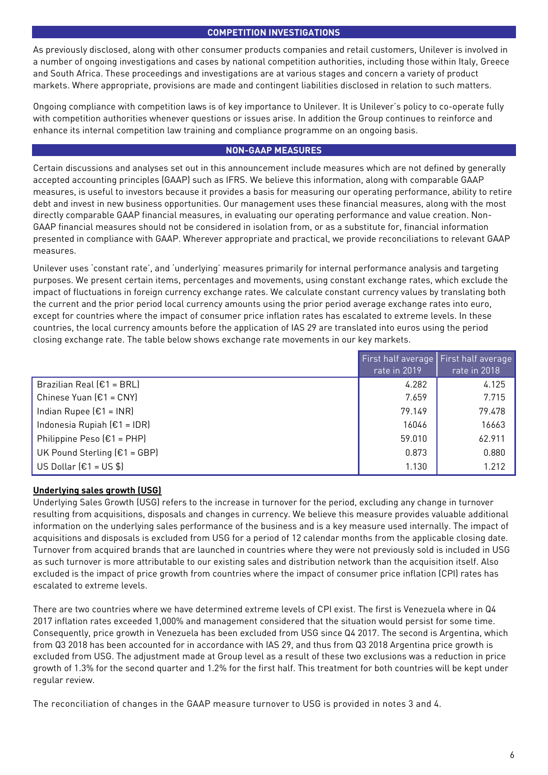## **COMPETITION INVESTIGATIONS**

As previously disclosed, along with other consumer products companies and retail customers, Unilever is involved in a number of ongoing investigations and cases by national competition authorities, including those within Italy, Greece and South Africa. These proceedings and investigations are at various stages and concern a variety of product markets. Where appropriate, provisions are made and contingent liabilities disclosed in relation to such matters.

Ongoing compliance with competition laws is of key importance to Unilever. It is Unilever's policy to co-operate fully with competition authorities whenever questions or issues arise. In addition the Group continues to reinforce and enhance its internal competition law training and compliance programme on an ongoing basis.

# **NON-GAAP MEASURES**

Certain discussions and analyses set out in this announcement include measures which are not defined by generally accepted accounting principles (GAAP) such as IFRS. We believe this information, along with comparable GAAP measures, is useful to investors because it provides a basis for measuring our operating performance, ability to retire debt and invest in new business opportunities. Our management uses these financial measures, along with the most directly comparable GAAP financial measures, in evaluating our operating performance and value creation. Non-GAAP financial measures should not be considered in isolation from, or as a substitute for, financial information presented in compliance with GAAP. Wherever appropriate and practical, we provide reconciliations to relevant GAAP measures.

Unilever uses 'constant rate', and 'underlying' measures primarily for internal performance analysis and targeting purposes. We present certain items, percentages and movements, using constant exchange rates, which exclude the impact of fluctuations in foreign currency exchange rates. We calculate constant currency values by translating both the current and the prior period local currency amounts using the prior period average exchange rates into euro, except for countries where the impact of consumer price inflation rates has escalated to extreme levels. In these countries, the local currency amounts before the application of IAS 29 are translated into euros using the period closing exchange rate. The table below shows exchange rate movements in our key markets.

|                              | First half average First half average<br>rate in 2019 | rate in 2018 |
|------------------------------|-------------------------------------------------------|--------------|
| Brazilian Real $(E1 = BRL)$  | 4.282                                                 | 4.125        |
| Chinese Yuan $E1 = CNY$      | 7.659                                                 | 7.715        |
| Indian Rupee $[£1 = INR]$    | 79.149                                                | 79.478       |
| Indonesia Rupiah $E1 = IDR$  | 16046                                                 | 16663        |
| Philippine Peso $E1 = PHP$   | 59.010                                                | 62.911       |
| UK Pound Sterling $E1 = GBP$ | 0.873                                                 | 0.880        |
| US Dollar $[€1 = US $]$      | 1.130                                                 | 1.212        |

# **Underlying sales growth (USG)**

Underlying Sales Growth (USG) refers to the increase in turnover for the period, excluding any change in turnover resulting from acquisitions, disposals and changes in currency. We believe this measure provides valuable additional information on the underlying sales performance of the business and is a key measure used internally. The impact of acquisitions and disposals is excluded from USG for a period of 12 calendar months from the applicable closing date. Turnover from acquired brands that are launched in countries where they were not previously sold is included in USG as such turnover is more attributable to our existing sales and distribution network than the acquisition itself. Also excluded is the impact of price growth from countries where the impact of consumer price inflation (CPI) rates has escalated to extreme levels.

There are two countries where we have determined extreme levels of CPI exist. The first is Venezuela where in Q4 2017 inflation rates exceeded 1,000% and management considered that the situation would persist for some time. Consequently, price growth in Venezuela has been excluded from USG since Q4 2017. The second is Argentina, which from Q3 2018 has been accounted for in accordance with IAS 29, and thus from Q3 2018 Argentina price growth is excluded from USG. The adjustment made at Group level as a result of these two exclusions was a reduction in price growth of 1.3% for the second quarter and 1.2% for the first half. This treatment for both countries will be kept under regular review.

The reconciliation of changes in the GAAP measure turnover to USG is provided in notes 3 and 4.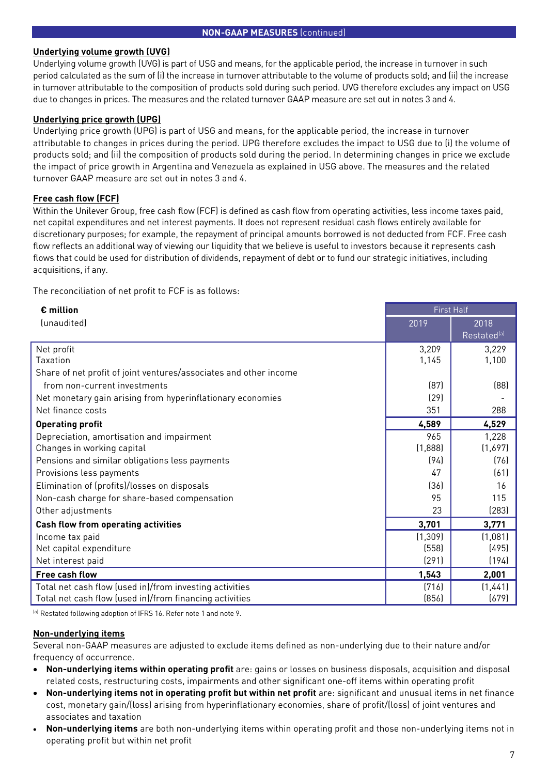## **NON-GAAP MEASURES** (continued)

## **Underlying volume growth (UVG)**

Underlying volume growth (UVG) is part of USG and means, for the applicable period, the increase in turnover in such period calculated as the sum of (i) the increase in turnover attributable to the volume of products sold; and (ii) the increase in turnover attributable to the composition of products sold during such period. UVG therefore excludes any impact on USG due to changes in prices. The measures and the related turnover GAAP measure are set out in notes 3 and 4.

## **Underlying price growth (UPG)**

Underlying price growth (UPG) is part of USG and means, for the applicable period, the increase in turnover attributable to changes in prices during the period. UPG therefore excludes the impact to USG due to (i) the volume of products sold; and (ii) the composition of products sold during the period. In determining changes in price we exclude the impact of price growth in Argentina and Venezuela as explained in USG above. The measures and the related turnover GAAP measure are set out in notes 3 and 4.

## **Free cash flow (FCF)**

Within the Unilever Group, free cash flow (FCF) is defined as cash flow from operating activities, less income taxes paid, net capital expenditures and net interest payments. It does not represent residual cash flows entirely available for discretionary purposes; for example, the repayment of principal amounts borrowed is not deducted from FCF. Free cash flow reflects an additional way of viewing our liquidity that we believe is useful to investors because it represents cash flows that could be used for distribution of dividends, repayment of debt or to fund our strategic initiatives, including acquisitions, if any.

The reconciliation of net profit to FCF is as follows:

| $\epsilon$ million                                                | <b>First Half</b> |                         |  |
|-------------------------------------------------------------------|-------------------|-------------------------|--|
| (unaudited)                                                       | 2019              | 2018                    |  |
|                                                                   |                   | Restated <sup>(a)</sup> |  |
| Net profit                                                        | 3,209             | 3,229                   |  |
| Taxation                                                          | 1,145             | 1,100                   |  |
| Share of net profit of joint ventures/associates and other income |                   |                         |  |
| from non-current investments                                      | (87)              | (88)                    |  |
| Net monetary gain arising from hyperinflationary economies        | (29)              |                         |  |
| Net finance costs                                                 | 351               | 288                     |  |
| <b>Operating profit</b>                                           | 4,589             | 4,529                   |  |
| Depreciation, amortisation and impairment                         | 965               | 1,228                   |  |
| Changes in working capital                                        | (1,888)           | (1,697)                 |  |
| Pensions and similar obligations less payments                    | (94)              | (76)                    |  |
| Provisions less payments                                          | 47                | (61)                    |  |
| Elimination of (profits)/losses on disposals                      | (36)              | 16                      |  |
| Non-cash charge for share-based compensation                      | 95                | 115                     |  |
| Other adjustments                                                 | 23                | (283)                   |  |
| <b>Cash flow from operating activities</b>                        | 3,701             | 3,771                   |  |
| Income tax paid                                                   | (1, 309)          | (1,081)                 |  |
| Net capital expenditure                                           | (558)             | (495)                   |  |
| Net interest paid                                                 | (291)             | (194)                   |  |
| Free cash flow                                                    | 1,543             | 2,001                   |  |
| Total net cash flow (used in)/from investing activities           | (716)             | (1,441)                 |  |
| Total net cash flow (used in)/from financing activities           | (856)             | (679)                   |  |

(a) Restated following adoption of IFRS 16. Refer note 1 and note 9.

## **Non-underlying items**

Several non-GAAP measures are adjusted to exclude items defined as non-underlying due to their nature and/or frequency of occurrence.

- **Non-underlying items within operating profit** are: gains or losses on business disposals, acquisition and disposal related costs, restructuring costs, impairments and other significant one-off items within operating profit
- **Non-underlying items not in operating profit but within net profit** are: significant and unusual items in net finance cost, monetary gain/(loss) arising from hyperinflationary economies, share of profit/(loss) of joint ventures and associates and taxation
- **Non-underlying items** are both non-underlying items within operating profit and those non-underlying items not in operating profit but within net profit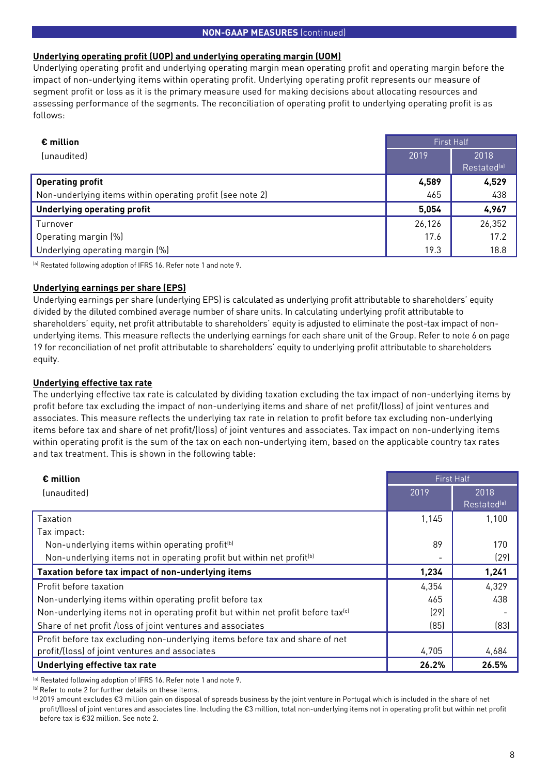## **NON-GAAP MEASURES** (continued)

## **Underlying operating profit (UOP) and underlying operating margin (UOM)**

Underlying operating profit and underlying operating margin mean operating profit and operating margin before the impact of non-underlying items within operating profit. Underlying operating profit represents our measure of segment profit or loss as it is the primary measure used for making decisions about allocating resources and assessing performance of the segments. The reconciliation of operating profit to underlying operating profit is as follows:

| $\epsilon$ million                                        | <b>First Half</b> |                         |  |
|-----------------------------------------------------------|-------------------|-------------------------|--|
| (unaudited)                                               | 2019              | 2018                    |  |
|                                                           |                   | Restated <sup>(a)</sup> |  |
| <b>Operating profit</b>                                   | 4,589             | 4,529                   |  |
| Non-underlying items within operating profit (see note 2) | 465               | 438                     |  |
| <b>Underlying operating profit</b>                        | 5,054             | 4,967                   |  |
| Turnover                                                  | 26,126            | 26,352                  |  |
| Operating margin (%)                                      | 17.6              | 17.2                    |  |
| Underlying operating margin (%)                           | 19.3              | 18.8                    |  |

(a) Restated following adoption of IFRS 16. Refer note 1 and note 9.

## **Underlying earnings per share (EPS)**

Underlying earnings per share (underlying EPS) is calculated as underlying profit attributable to shareholders' equity divided by the diluted combined average number of share units. In calculating underlying profit attributable to shareholders' equity, net profit attributable to shareholders' equity is adjusted to eliminate the post-tax impact of nonunderlying items. This measure reflects the underlying earnings for each share unit of the Group. Refer to note 6 on page 19 for reconciliation of net profit attributable to shareholders' equity to underlying profit attributable to shareholders equity.

## **Underlying effective tax rate**

The underlying effective tax rate is calculated by dividing taxation excluding the tax impact of non-underlying items by profit before tax excluding the impact of non-underlying items and share of net profit/(loss) of joint ventures and associates. This measure reflects the underlying tax rate in relation to profit before tax excluding non-underlying items before tax and share of net profit/(loss) of joint ventures and associates. Tax impact on non-underlying items within operating profit is the sum of the tax on each non-underlying item, based on the applicable country tax rates and tax treatment. This is shown in the following table:

| $\epsilon$ million                                                                           |       | <b>First Half</b>       |
|----------------------------------------------------------------------------------------------|-------|-------------------------|
| (unaudited)                                                                                  | 2019  | 2018                    |
|                                                                                              |       | Restated <sup>(a)</sup> |
| Taxation                                                                                     | 1,145 | 1,100                   |
| Tax impact:                                                                                  |       |                         |
| Non-underlying items within operating profit <sup>(b)</sup>                                  | 89    | 170                     |
| Non-underlying items not in operating profit but within net profit <sup>[b]</sup>            |       | (29)                    |
| Taxation before tax impact of non-underlying items                                           | 1,234 | 1,241                   |
| Profit before taxation                                                                       | 4,354 | 4,329                   |
| Non-underlying items within operating profit before tax                                      | 465   | 438                     |
| Non-underlying items not in operating profit but within net profit before tax <sup>(c)</sup> | (29)  |                         |
| Share of net profit /loss of joint ventures and associates                                   | (85)  | (83)                    |
| Profit before tax excluding non-underlying items before tax and share of net                 |       |                         |
| profit/(loss) of joint ventures and associates                                               | 4,705 | 4,684                   |
| Underlying effective tax rate                                                                | 26.2% | 26.5%                   |

(a) Restated following adoption of IFRS 16. Refer note 1 and note 9.

(b) Refer to note 2 for further details on these items.

(c) 2019 amount excludes €3 million gain on disposal of spreads business by the joint venture in Portugal which is included in the share of net profit/(loss) of joint ventures and associates line. Including the €3 million, total non-underlying items not in operating profit but within net profit before tax is €32 million. See note 2.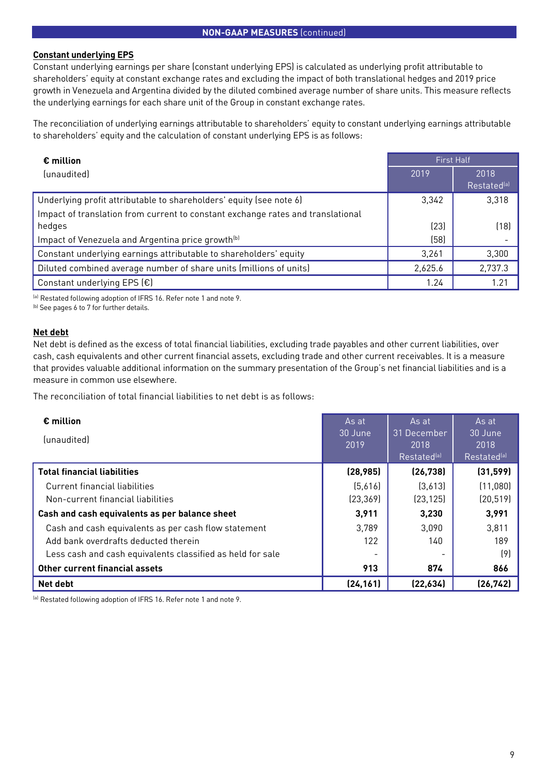# **Constant underlying EPS**

Constant underlying earnings per share (constant underlying EPS) is calculated as underlying profit attributable to shareholders' equity at constant exchange rates and excluding the impact of both translational hedges and 2019 price growth in Venezuela and Argentina divided by the diluted combined average number of share units. This measure reflects the underlying earnings for each share unit of the Group in constant exchange rates.

The reconciliation of underlying earnings attributable to shareholders' equity to constant underlying earnings attributable to shareholders' equity and the calculation of constant underlying EPS is as follows:

| $\epsilon$ million                                                              |         | <b>First Half</b>       |
|---------------------------------------------------------------------------------|---------|-------------------------|
| (unaudited)                                                                     | 2019    | 2018                    |
|                                                                                 |         | Restated <sup>(a)</sup> |
| Underlying profit attributable to shareholders' equity (see note 6)             | 3,342   | 3,318                   |
| Impact of translation from current to constant exchange rates and translational |         |                         |
| hedges                                                                          | (23)    | (18)                    |
| Impact of Venezuela and Argentina price growth <sup>(b)</sup>                   | (58)    |                         |
| Constant underlying earnings attributable to shareholders' equity               | 3,261   | 3,300                   |
| Diluted combined average number of share units (millions of units)              | 2,625.6 | 2,737.3                 |
| Constant underlying EPS (€)                                                     | 1.24    | 1.21                    |

(a) Restated following adoption of IFRS 16. Refer note 1 and note 9.

(b) See pages 6 to 7 for further details.

## **Net debt**

Net debt is defined as the excess of total financial liabilities, excluding trade payables and other current liabilities, over cash, cash equivalents and other current financial assets, excluding trade and other current receivables. It is a measure that provides valuable additional information on the summary presentation of the Group's net financial liabilities and is a measure in common use elsewhere.

The reconciliation of total financial liabilities to net debt is as follows:

| $\epsilon$ million<br>(unaudited)                          | As at<br>30 June<br>2019 | As at<br>31 December<br>2018<br>Restated <sup>(a)</sup> | As at<br>30 June<br>2018<br>Restated <sup>(a)</sup> |
|------------------------------------------------------------|--------------------------|---------------------------------------------------------|-----------------------------------------------------|
| <b>Total financial liabilities</b>                         | (28, 985)                | (26, 738)                                               | (31, 599)                                           |
| Current financial liabilities                              | (5,616)                  | [3,613]                                                 | (11,080)                                            |
| Non-current financial liabilities                          | (23, 369)                | (23, 125)                                               | (20, 519)                                           |
| Cash and cash equivalents as per balance sheet             | 3,911                    | 3,230                                                   | 3,991                                               |
| Cash and cash equivalents as per cash flow statement       | 3,789                    | 3,090                                                   | 3,811                                               |
| Add bank overdrafts deducted therein                       | 122                      | 140                                                     | 189                                                 |
| Less cash and cash equivalents classified as held for sale |                          |                                                         | (9)                                                 |
| Other current financial assets                             | 913                      | 874                                                     | 866                                                 |
| Net debt                                                   | (24, 161)                | (22, 634)                                               | (26, 742)                                           |

(a) Restated following adoption of IFRS 16. Refer note 1 and note 9.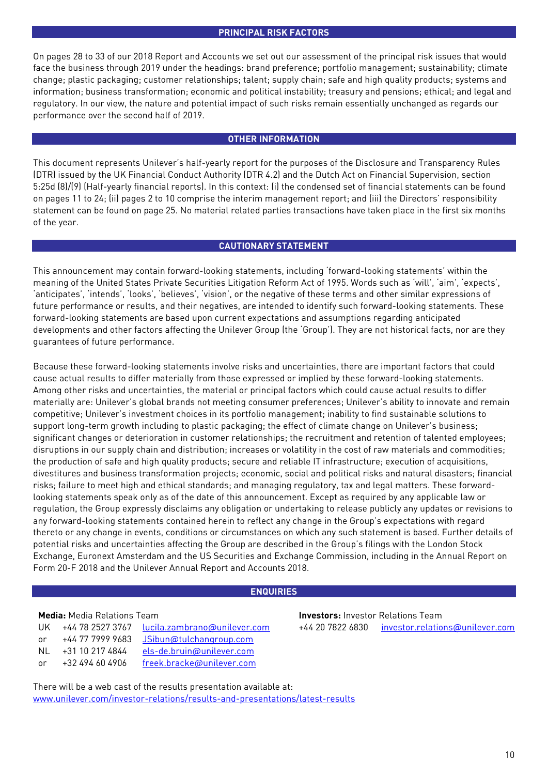#### **PRINCIPAL RISK FACTORS**

On pages 28 to 33 of our 2018 Report and Accounts we set out our assessment of the principal risk issues that would face the business through 2019 under the headings: brand preference; portfolio management; sustainability; climate change; plastic packaging; customer relationships; talent; supply chain; safe and high quality products; systems and information; business transformation; economic and political instability; treasury and pensions; ethical; and legal and regulatory. In our view, the nature and potential impact of such risks remain essentially unchanged as regards our performance over the second half of 2019.

## **OTHER INFORMATION**

This document represents Unilever's half-yearly report for the purposes of the Disclosure and Transparency Rules (DTR) issued by the UK Financial Conduct Authority (DTR 4.2) and the Dutch Act on Financial Supervision, section 5:25d (8)/(9) (Half-yearly financial reports). In this context: (i) the condensed set of financial statements can be found on pages 11 to 24; (ii) pages 2 to 10 comprise the interim management report; and (iii) the Directors' responsibility statement can be found on page 25. No material related parties transactions have taken place in the first six months of the year.

## **CAUTIONARY STATEMENT**

This announcement may contain forward-looking statements, including 'forward-looking statements' within the meaning of the United States Private Securities Litigation Reform Act of 1995. Words such as 'will', 'aim', 'expects', 'anticipates', 'intends', 'looks', 'believes', 'vision', or the negative of these terms and other similar expressions of future performance or results, and their negatives, are intended to identify such forward-looking statements. These forward-looking statements are based upon current expectations and assumptions regarding anticipated developments and other factors affecting the Unilever Group (the 'Group'). They are not historical facts, nor are they guarantees of future performance.

Because these forward-looking statements involve risks and uncertainties, there are important factors that could cause actual results to differ materially from those expressed or implied by these forward-looking statements. Among other risks and uncertainties, the material or principal factors which could cause actual results to differ materially are: Unilever's global brands not meeting consumer preferences; Unilever's ability to innovate and remain competitive; Unilever's investment choices in its portfolio management; inability to find sustainable solutions to support long-term growth including to plastic packaging; the effect of climate change on Unilever's business; significant changes or deterioration in customer relationships; the recruitment and retention of talented employees; disruptions in our supply chain and distribution; increases or volatility in the cost of raw materials and commodities; the production of safe and high quality products; secure and reliable IT infrastructure; execution of acquisitions, divestitures and business transformation projects; economic, social and political risks and natural disasters; financial risks; failure to meet high and ethical standards; and managing regulatory, tax and legal matters. These forwardlooking statements speak only as of the date of this announcement. Except as required by any applicable law or regulation, the Group expressly disclaims any obligation or undertaking to release publicly any updates or revisions to any forward-looking statements contained herein to reflect any change in the Group's expectations with regard thereto or any change in events, conditions or circumstances on which any such statement is based. Further details of potential risks and uncertainties affecting the Group are described in the Group's filings with the London Stock Exchange, Euronext Amsterdam and the US Securities and Exchange Commission, including in the Annual Report on Form 20-F 2018 and the Unilever Annual Report and Accounts 2018.

## **ENQUIRIES**

| UK. | +44 78 2527 3767 | lucila.zambrano@unilever.com |
|-----|------------------|------------------------------|
| or  | +44 77 7999 9683 | JSibun@tulchangroup.com      |
| NI. | +31 10 217 4844  | els-de.bruin@unilever.com    |
| or  | +32 494 60 4906  | freek.bracke@unilever.com    |

There will be a web cast of the results presentation available at: [www.unilever.com/investor-relations/results-and-presentations/latest-results](https://www.unilever.com/investor-relations/results-and-presentations/latest-results/?utm_source=Qresults&utm_medium=Results-PDF)

**Media:** Media Relations Team **Investors:** Investor Relations Team +44 20 7822 6830 [investor.relations@unilever.com](mailto:investor.relations@unilever.com)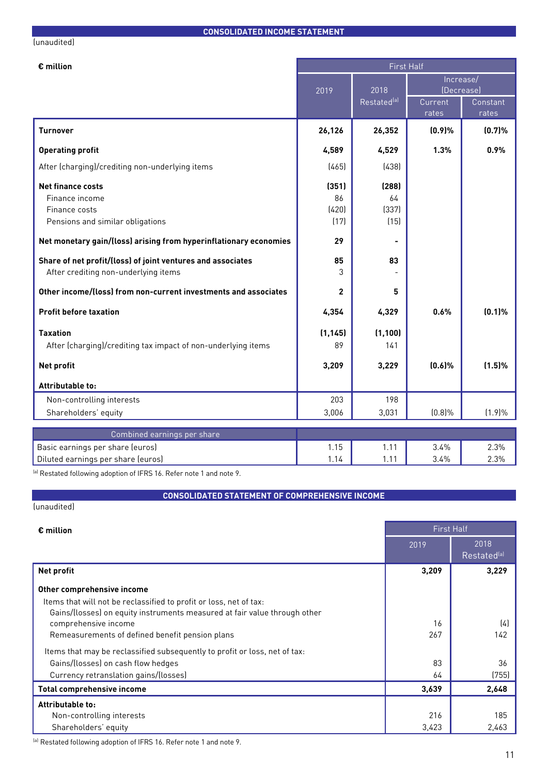| $\epsilon$ million                                                                                  | <b>First Half</b>            |                              |                         |                   |  |
|-----------------------------------------------------------------------------------------------------|------------------------------|------------------------------|-------------------------|-------------------|--|
|                                                                                                     | 2019                         | 2018                         | Increase/<br>(Decrease) |                   |  |
|                                                                                                     |                              | Restated <sup>(a)</sup>      | Current<br>rates        | Constant<br>rates |  |
| <b>Turnover</b>                                                                                     | 26,126                       | 26,352                       | (0.9)%                  | (0.7)%            |  |
| <b>Operating profit</b>                                                                             | 4,589                        | 4,529                        | 1.3%                    | 0.9%              |  |
| After (charging)/crediting non-underlying items                                                     | (465)                        | (438)                        |                         |                   |  |
| <b>Net finance costs</b><br>Finance income<br>Finance costs<br>Pensions and similar obligations     | (351)<br>86<br>(420)<br>(17) | (288)<br>64<br>(337)<br>(15) |                         |                   |  |
| Net monetary gain/(loss) arising from hyperinflationary economies                                   | 29                           | $\overline{a}$               |                         |                   |  |
| Share of net profit/(loss) of joint ventures and associates<br>After crediting non-underlying items | 85<br>3                      | 83                           |                         |                   |  |
| Other income/(loss) from non-current investments and associates                                     | $\overline{2}$               | 5                            |                         |                   |  |
| <b>Profit before taxation</b>                                                                       | 4,354                        | 4,329                        | 0.6%                    | (0.1%             |  |
| <b>Taxation</b><br>After (charging)/crediting tax impact of non-underlying items                    | (1, 145)<br>89               | (1, 100)<br>141              |                         |                   |  |
| Net profit                                                                                          | 3,209                        | 3,229                        | (0.6)%                  | (1.5)%            |  |
| Attributable to:                                                                                    |                              |                              |                         |                   |  |
| Non-controlling interests                                                                           | 203                          | 198                          |                         |                   |  |
| Shareholders' equity                                                                                | 3,006                        | 3,031                        | (0.8)%                  | (1.9%             |  |
| Combined earnings per share                                                                         |                              |                              |                         |                   |  |
| Basic earnings per share (euros)                                                                    | 1.15                         | 1.11                         | 3.4%                    | 2.3%              |  |

Diluted earnings per share (euros) 1.14 1.14 1.11 3.4% 2.3% (a) Restated following adoption of IFRS 16. Refer note 1 and note 9.

**CONSOLIDATED STATEMENT OF COMPREHENSIVE INCOME**

#### (unaudited)

| $\epsilon$ million                                                         | <b>First Half</b> |                                 |
|----------------------------------------------------------------------------|-------------------|---------------------------------|
|                                                                            | 2019              | 2018<br>Restated <sup>(a)</sup> |
| <b>Net profit</b>                                                          | 3,209             | 3,229                           |
| Other comprehensive income                                                 |                   |                                 |
| Items that will not be reclassified to profit or loss, net of tax:         |                   |                                 |
| Gains/(losses) on equity instruments measured at fair value through other  |                   |                                 |
| comprehensive income                                                       | 16                | (4)                             |
| Remeasurements of defined benefit pension plans                            | 267               | 142                             |
| Items that may be reclassified subsequently to profit or loss, net of tax: |                   |                                 |
| Gains/(losses) on cash flow hedges                                         | 83                | 36                              |
| Currency retranslation gains/(losses)                                      | 64                | (755)                           |
| <b>Total comprehensive income</b>                                          | 3,639             | 2,648                           |
| Attributable to:                                                           |                   |                                 |
| Non-controlling interests                                                  | 216               | 185                             |
| Shareholders' equity                                                       | 3,423             | 2,463                           |

(a) Restated following adoption of IFRS 16. Refer note 1 and note 9.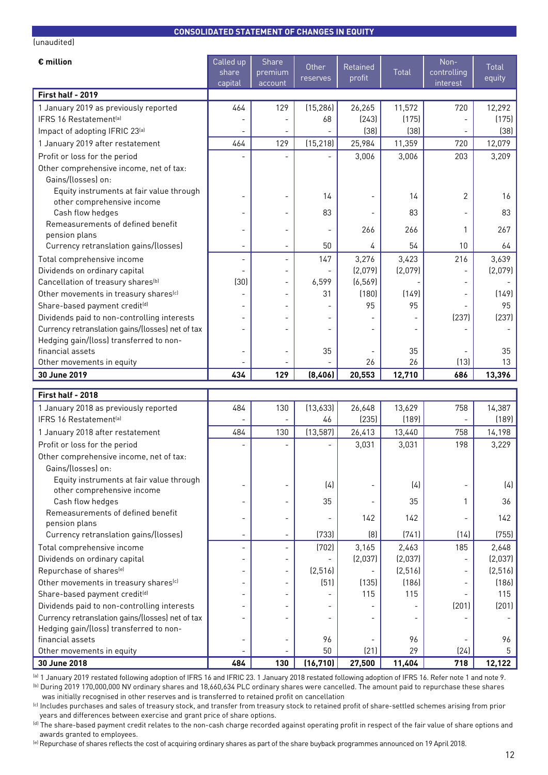#### **CONSOLIDATED STATEMENT OF CHANGES IN EQUITY**

| $\epsilon$ million                                | Called up<br>share<br>capital | Share<br>premium<br>account | <b>Other</b><br>reserves | Retained<br>profit       | <b>Total</b> | Non-<br>controlling<br>interest | Total<br>equity |
|---------------------------------------------------|-------------------------------|-----------------------------|--------------------------|--------------------------|--------------|---------------------------------|-----------------|
| First half - 2019                                 |                               |                             |                          |                          |              |                                 |                 |
| 1 January 2019 as previously reported             | 464                           | 129                         | (15, 286)                | 26,265                   | 11,572       | 720                             | 12,292          |
| IFRS 16 Restatement <sup>[a]</sup>                |                               |                             | 68                       | [243]                    | (175)        |                                 | (175)           |
| Impact of adopting IFRIC 23[a]                    |                               |                             |                          | (38)                     | [38]         |                                 | (38)            |
| 1 January 2019 after restatement                  | 464                           | 129                         | (15, 218)                | 25,984                   | 11,359       | 720                             | 12,079          |
| Profit or loss for the period                     |                               |                             |                          | 3,006                    | 3,006        | 203                             | 3,209           |
| Other comprehensive income, net of tax:           |                               |                             |                          |                          |              |                                 |                 |
| Gains/(losses) on:                                |                               |                             |                          |                          |              |                                 |                 |
| Equity instruments at fair value through          |                               |                             | 14                       |                          | 14           | 2                               | 16              |
| other comprehensive income                        |                               |                             |                          |                          |              |                                 |                 |
| Cash flow hedges                                  | $\overline{\phantom{a}}$      |                             | 83                       |                          | 83           |                                 | 83              |
| Remeasurements of defined benefit                 | $\overline{\phantom{0}}$      |                             |                          | 266                      | 266          |                                 | 267             |
| pension plans                                     |                               |                             |                          |                          |              |                                 |                 |
| Currency retranslation gains/(losses)             | $\overline{\phantom{a}}$      |                             | 50                       | 4                        | 54           | 10 <sup>1</sup>                 | 64              |
| Total comprehensive income                        | $\overline{\phantom{a}}$      |                             | 147                      | 3,276                    | 3,423        | 216                             | 3,639           |
| Dividends on ordinary capital                     |                               |                             |                          | (2,079)                  | (2,079)      |                                 | (2,079)         |
| Cancellation of treasury shares <sup>(b)</sup>    | (30)                          |                             | 6,599                    | (6, 569)                 |              |                                 |                 |
| Other movements in treasury shares <sup>(c)</sup> |                               |                             | 31                       | [180]                    | (149)        |                                 | (149)           |
| Share-based payment credit <sup>(d)</sup>         | $\overline{\phantom{a}}$      |                             |                          | 95                       | 95           |                                 | 95              |
| Dividends paid to non-controlling interests       |                               |                             |                          |                          |              | (237)                           | (237)           |
| Currency retranslation gains/(losses) net of tax  | $\overline{\phantom{a}}$      |                             |                          | $\overline{\phantom{a}}$ |              |                                 |                 |
| Hedging gain/(loss) transferred to non-           |                               |                             |                          |                          |              |                                 |                 |
| financial assets                                  | $\overline{\phantom{a}}$      |                             | 35                       |                          | 35           |                                 | 35              |
| Other movements in equity                         |                               |                             |                          | 26                       | 26           | (13)                            | 13              |
| 30 June 2019                                      | 434                           | 129                         | (8,406)                  | 20,553                   | 12,710       | 686                             | 13,396          |

| First half - 2018                                                      |                          |     |           |          |          |       |          |
|------------------------------------------------------------------------|--------------------------|-----|-----------|----------|----------|-------|----------|
| 1 January 2018 as previously reported                                  | 484                      | 130 | (13,633)  | 26,648   | 13,629   | 758   | 14,387   |
| IFRS 16 Restatement <sup>[a]</sup>                                     |                          |     | 46        | (235)    | (189)    |       | (189)    |
| 1 January 2018 after restatement                                       | 484                      | 130 | (13, 587) | 26,413   | 13,440   | 758   | 14,198   |
| Profit or loss for the period                                          | $\overline{\phantom{a}}$ |     |           | 3,031    | 3,031    | 198   | 3,229    |
| Other comprehensive income, net of tax:                                |                          |     |           |          |          |       |          |
| Gains/(losses) on:                                                     |                          |     |           |          |          |       |          |
| Equity instruments at fair value through<br>other comprehensive income |                          |     | (4)       |          | (4)      |       | (4)      |
| Cash flow hedges                                                       |                          |     | 35        |          | 35       |       | 36       |
| Remeasurements of defined benefit<br>pension plans                     |                          |     |           | 142      | 142      |       | 142      |
| Currency retranslation gains/(losses)                                  | $\overline{\phantom{a}}$ | ۳   | (733)     | [8]      | (741)    | (14)  | (755)    |
| Total comprehensive income                                             | $\overline{\phantom{a}}$ |     | (702)     | 3,165    | 2,463    | 185   | 2,648    |
| Dividends on ordinary capital                                          | $\overline{\phantom{a}}$ |     |           | (2,037)  | (2,037)  |       | (2,037)  |
| Repurchase of shares <sup>[e]</sup>                                    | $\overline{\phantom{a}}$ |     | (2, 516)  |          | (2, 516) |       | (2, 516) |
| Other movements in treasury shares <sup>[c]</sup>                      |                          |     | (51)      | (135)    | (186)    |       | (186)    |
| Share-based payment credit <sup>(d)</sup>                              | $\overline{\phantom{a}}$ |     |           | 115      | 115      |       | 115      |
| Dividends paid to non-controlling interests                            | $\overline{\phantom{a}}$ |     |           | ۳        |          | (201) | (201)    |
| Currency retranslation gains/(losses) net of tax                       |                          |     |           | $\equiv$ |          |       |          |
| Hedging gain/(loss) transferred to non-                                |                          |     |           |          |          |       |          |
| financial assets                                                       | $\overline{\phantom{a}}$ |     | 96        |          | 96       |       | 96       |
| Other movements in equity                                              |                          |     | 50        | (21)     | 29       | (24)  | 5        |
| 30 June 2018                                                           | 484                      | 130 | (16, 710) | 27,500   | 11,404   | 718   | 12,122   |

(a) 1 January 2019 restated following adoption of IFRS 16 and IFRIC 23. 1 January 2018 restated following adoption of IFRS 16. Refer note 1 and note 9. (b) During 2019 170,000,000 NV ordinary shares and 18,660,634 PLC ordinary shares were cancelled. The amount paid to repurchase these shares

was initially recognised in other reserves and is transferred to retained profit on cancellation

(c) Includes purchases and sales of treasury stock, and transfer from treasury stock to retained profit of share-settled schemes arising from prior years and differences between exercise and grant price of share options.

(d) The share-based payment credit relates to the non-cash charge recorded against operating profit in respect of the fair value of share options and awards granted to employees.

<sup>(e)</sup> Repurchase of shares reflects the cost of acquiring ordinary shares as part of the share buyback programmes announced on 19 April 2018.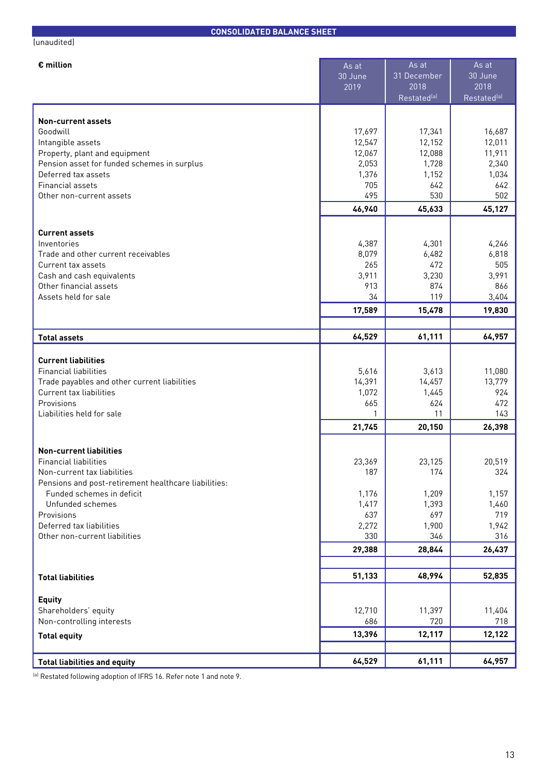| € million                                                 | As at<br>30 June | As at<br>31 December    | As at<br>30 June        |
|-----------------------------------------------------------|------------------|-------------------------|-------------------------|
|                                                           | 2019             | 2018                    | 2018                    |
|                                                           |                  | Restated <sup>(a)</sup> | Restated <sup>(a)</sup> |
|                                                           |                  |                         |                         |
| <b>Non-current assets</b>                                 |                  |                         |                         |
| Goodwill                                                  | 17,697           | 17,341                  | 16,687                  |
| Intangible assets<br>Property, plant and equipment        | 12,547<br>12,067 | 12,152<br>12,088        | 12,011<br>11,911        |
| Pension asset for funded schemes in surplus               | 2,053            | 1,728                   | 2,340                   |
| Deferred tax assets                                       | 1,376            | 1,152                   | 1,034                   |
| Financial assets                                          | 705              | 642                     | 642                     |
| Other non-current assets                                  | 495              | 530                     | 502                     |
|                                                           | 46,940           | 45,633                  | 45,127                  |
|                                                           |                  |                         |                         |
| <b>Current assets</b><br>Inventories                      | 4,387            | 4,301                   | 4,246                   |
| Trade and other current receivables                       | 8,079            | 6,482                   | 6,818                   |
| Current tax assets                                        | 265              | 472                     | 505                     |
| Cash and cash equivalents                                 | 3,911            | 3,230                   | 3,991                   |
| Other financial assets                                    | 913              | 874                     | 866                     |
| Assets held for sale                                      | 34               | 119                     | 3,404                   |
|                                                           | 17,589           | 15,478                  | 19,830                  |
|                                                           |                  |                         |                         |
| <b>Total assets</b>                                       | 64,529           | 61,111                  | 64,957                  |
|                                                           |                  |                         |                         |
| <b>Current liabilities</b>                                |                  |                         |                         |
| <b>Financial liabilities</b>                              | 5,616            | 3,613                   | 11,080                  |
| Trade payables and other current liabilities              | 14,391           | 14,457                  | 13,779                  |
| Current tax liabilities<br>Provisions                     | 1,072<br>665     | 1,445<br>624            | 924<br>472              |
| Liabilities held for sale                                 |                  | 11                      | 143                     |
|                                                           | 21,745           | 20,150                  | 26,398                  |
|                                                           |                  |                         |                         |
| <b>Non-current liabilities</b>                            |                  |                         |                         |
| <b>Financial liabilities</b>                              | 23,369           | 23,125                  | 20,519                  |
| Non-current tax liabilities                               | 187              | 174                     | 324                     |
| Pensions and post-retirement healthcare liabilities:      |                  |                         |                         |
| Funded schemes in deficit                                 | 1,176            | 1,209                   | 1,157                   |
| Unfunded schemes                                          | 1,417            | 1,393                   | 1,460                   |
| Provisions                                                | 637              | 697                     | 719                     |
| Deferred tax liabilities<br>Other non-current liabilities | 2,272            | 1,900                   | 1,942                   |
|                                                           | 330              | 346                     | 316                     |
|                                                           | 29,388           | 28,844                  | 26,437                  |
| <b>Total liabilities</b>                                  | 51,133           | 48,994                  | 52,835                  |
|                                                           |                  |                         |                         |
| <b>Equity</b>                                             |                  |                         |                         |
| Shareholders' equity                                      | 12,710           | 11,397                  | 11,404                  |
| Non-controlling interests                                 | 686              | 720                     | 718                     |
| <b>Total equity</b>                                       | 13,396           | 12,117                  | 12,122                  |
|                                                           |                  |                         |                         |
| <b>Total liabilities and equity</b>                       | 64,529           | 61,111                  | 64,957                  |

(a) Restated following adoption of IFRS 16. Refer note 1 and note 9.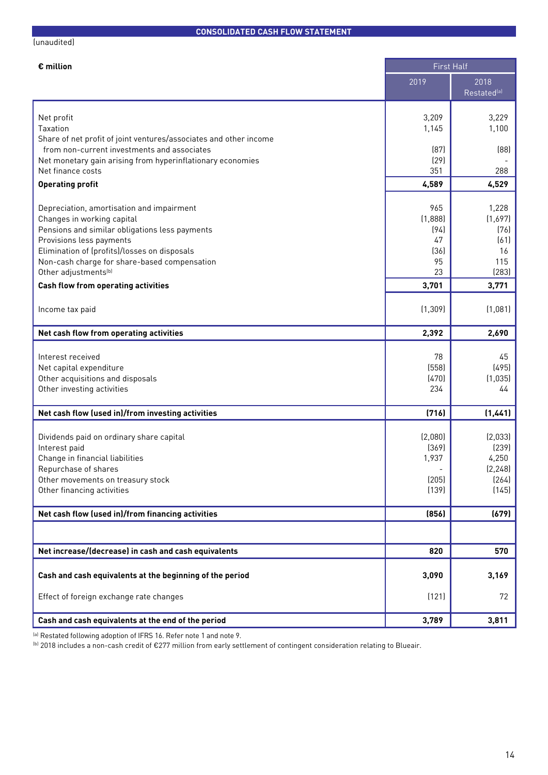## **CONSOLIDATED CASH FLOW STATEMENT**

| $\epsilon$ million                                                                                        | <b>First Half</b> |                                 |
|-----------------------------------------------------------------------------------------------------------|-------------------|---------------------------------|
|                                                                                                           | 2019              | 2018<br>Restated <sup>(a)</sup> |
|                                                                                                           |                   |                                 |
| Net profit                                                                                                | 3,209             | 3,229                           |
| Taxation                                                                                                  | 1,145             | 1,100                           |
| Share of net profit of joint ventures/associates and other income                                         |                   |                                 |
| from non-current investments and associates<br>Net monetary gain arising from hyperinflationary economies | (87)<br>(29)      | (88)                            |
| Net finance costs                                                                                         | 351               | 288                             |
|                                                                                                           |                   |                                 |
| <b>Operating profit</b>                                                                                   | 4,589             | 4,529                           |
| Depreciation, amortisation and impairment                                                                 | 965               | 1,228                           |
| Changes in working capital                                                                                | (1,888)           | (1,697)                         |
| Pensions and similar obligations less payments                                                            | (94)              | (76)                            |
| Provisions less payments                                                                                  | 47                | (61)                            |
| Elimination of (profits)/losses on disposals                                                              | (36)              | 16                              |
| Non-cash charge for share-based compensation                                                              | 95                | 115                             |
| Other adjustments <sup>(b)</sup>                                                                          | 23                | (283)                           |
| <b>Cash flow from operating activities</b>                                                                | 3,701             | 3,771                           |
|                                                                                                           |                   |                                 |
| Income tax paid                                                                                           | (1, 309)          | (1,081)                         |
| Net cash flow from operating activities                                                                   | 2,392             | 2,690                           |
|                                                                                                           |                   |                                 |
| Interest received                                                                                         | 78                | 45                              |
| Net capital expenditure                                                                                   | (558)             | (495)                           |
| Other acquisitions and disposals<br>Other investing activities                                            | (470)<br>234      | (1,035)<br>44                   |
|                                                                                                           |                   |                                 |
| Net cash flow (used in)/from investing activities                                                         | (716)             | (1,441)                         |
|                                                                                                           |                   |                                 |
| Dividends paid on ordinary share capital                                                                  | (2,080)           | (2,033)                         |
| Interest paid                                                                                             | (369)             | (239)                           |
| Change in financial liabilities                                                                           | 1,937             | 4,250                           |
| Repurchase of shares                                                                                      |                   | (2, 248)                        |
| Other movements on treasury stock                                                                         | (205)             | (264)                           |
| Other financing activities                                                                                | (139)             | (145)                           |
| Net cash flow (used in)/from financing activities                                                         | (856)             | (679)                           |
|                                                                                                           |                   |                                 |
| Net increase/(decrease) in cash and cash equivalents                                                      | 820               | 570                             |
|                                                                                                           |                   |                                 |
| Cash and cash equivalents at the beginning of the period                                                  | 3,090             | 3,169                           |
| Effect of foreign exchange rate changes                                                                   | (121)             | 72                              |
| Cash and cash equivalents at the end of the period                                                        | 3,789             | 3,811                           |

(a) Restated following adoption of IFRS 16. Refer note 1 and note 9.

(b) 2018 includes a non-cash credit of €277 million from early settlement of contingent consideration relating to Blueair.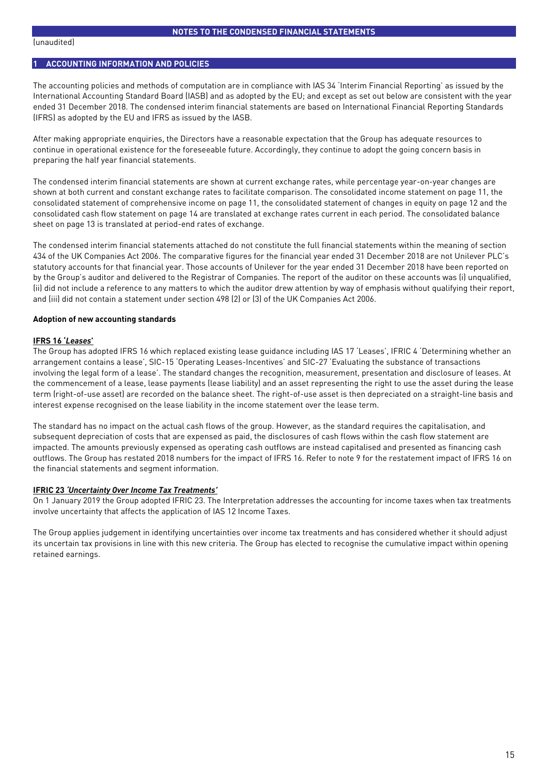#### **1 ACCOUNTING INFORMATION AND POLICIES**

The accounting policies and methods of computation are in compliance with IAS 34 'Interim Financial Reporting' as issued by the International Accounting Standard Board (IASB) and as adopted by the EU; and except as set out below are consistent with the year ended 31 December 2018. The condensed interim financial statements are based on International Financial Reporting Standards (IFRS) as adopted by the EU and IFRS as issued by the IASB.

After making appropriate enquiries, the Directors have a reasonable expectation that the Group has adequate resources to continue in operational existence for the foreseeable future. Accordingly, they continue to adopt the going concern basis in preparing the half year financial statements.

The condensed interim financial statements are shown at current exchange rates, while percentage year-on-year changes are shown at both current and constant exchange rates to facilitate comparison. The consolidated income statement on page 11, the consolidated statement of comprehensive income on page 11, the consolidated statement of changes in equity on page 12 and the consolidated cash flow statement on page 14 are translated at exchange rates current in each period. The consolidated balance sheet on page 13 is translated at period-end rates of exchange.

The condensed interim financial statements attached do not constitute the full financial statements within the meaning of section 434 of the UK Companies Act 2006. The comparative figures for the financial year ended 31 December 2018 are not Unilever PLC's statutory accounts for that financial year. Those accounts of Unilever for the year ended 31 December 2018 have been reported on by the Group's auditor and delivered to the Registrar of Companies. The report of the auditor on these accounts was (i) unqualified, (ii) did not include a reference to any matters to which the auditor drew attention by way of emphasis without qualifying their report, and (iii) did not contain a statement under section 498 (2) or (3) of the UK Companies Act 2006.

#### **Adoption of new accounting standards**

#### **IFRS 16 '***Leases***'**

The Group has adopted IFRS 16 which replaced existing lease guidance including IAS 17 'Leases', IFRIC 4 'Determining whether an arrangement contains a lease', SIC-15 'Operating Leases-Incentives' and SIC-27 'Evaluating the substance of transactions involving the legal form of a lease'. The standard changes the recognition, measurement, presentation and disclosure of leases. At the commencement of a lease, lease payments (lease liability) and an asset representing the right to use the asset during the lease term (right-of-use asset) are recorded on the balance sheet. The right-of-use asset is then depreciated on a straight-line basis and interest expense recognised on the lease liability in the income statement over the lease term.

The standard has no impact on the actual cash flows of the group. However, as the standard requires the capitalisation, and subsequent depreciation of costs that are expensed as paid, the disclosures of cash flows within the cash flow statement are impacted. The amounts previously expensed as operating cash outflows are instead capitalised and presented as financing cash outflows. The Group has restated 2018 numbers for the impact of IFRS 16. Refer to note 9 for the restatement impact of IFRS 16 on the financial statements and segment information.

#### **IFRIC 23** *'Uncertainty Over Income Tax Treatments'*

On 1 January 2019 the Group adopted IFRIC 23. The Interpretation addresses the accounting for income taxes when tax treatments involve uncertainty that affects the application of IAS 12 Income Taxes.

The Group applies judgement in identifying uncertainties over income tax treatments and has considered whether it should adjust its uncertain tax provisions in line with this new criteria. The Group has elected to recognise the cumulative impact within opening retained earnings.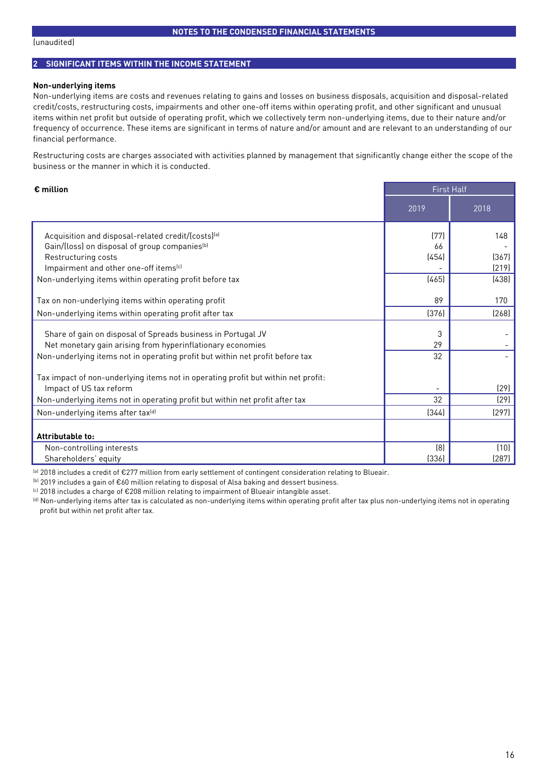## **2 SIGNIFICANT ITEMS WITHIN THE INCOME STATEMENT**

## **Non-underlying items**

Non-underlying items are costs and revenues relating to gains and losses on business disposals, acquisition and disposal-related credit/costs, restructuring costs, impairments and other one-off items within operating profit, and other significant and unusual items within net profit but outside of operating profit, which we collectively term non-underlying items, due to their nature and/or frequency of occurrence. These items are significant in terms of nature and/or amount and are relevant to an understanding of our financial performance.

Restructuring costs are charges associated with activities planned by management that significantly change either the scope of the business or the manner in which it is conducted.

| $\epsilon$ million                                                                                                                                                                                                                                                 | <b>First Half</b>            |                                |  |
|--------------------------------------------------------------------------------------------------------------------------------------------------------------------------------------------------------------------------------------------------------------------|------------------------------|--------------------------------|--|
|                                                                                                                                                                                                                                                                    | 2019                         | 2018                           |  |
| Acquisition and disposal-related credit/(costs) <sup>(a)</sup><br>Gain/(loss) on disposal of group companies <sup>(b)</sup><br>Restructuring costs<br>Impairment and other one-off items <sup>(c)</sup><br>Non-underlying items within operating profit before tax | (77)<br>66<br>(454)<br>(465) | 148<br>(367)<br>(219)<br>(438) |  |
| Tax on non-underlying items within operating profit<br>Non-underlying items within operating profit after tax                                                                                                                                                      | 89<br>(376)                  | 170<br>(268)                   |  |
| Share of gain on disposal of Spreads business in Portugal JV<br>Net monetary gain arising from hyperinflationary economies<br>Non-underlying items not in operating profit but within net profit before tax                                                        | 3<br>29<br>32                |                                |  |
| Tax impact of non-underlying items not in operating profit but within net profit:<br>Impact of US tax reform<br>Non-underlying items not in operating profit but within net profit after tax                                                                       | 32                           | [29]<br>(29)                   |  |
| Non-underlying items after tax <sup>(d)</sup>                                                                                                                                                                                                                      | [344]                        | (297)                          |  |
| Attributable to:                                                                                                                                                                                                                                                   |                              |                                |  |
| Non-controlling interests<br>Shareholders' equity                                                                                                                                                                                                                  | [8]<br>(336)                 | (10)<br>(287)                  |  |

(a) 2018 includes a credit of €277 million from early settlement of contingent consideration relating to Blueair.

(b) 2019 includes a gain of €60 million relating to disposal of Alsa baking and dessert business.

(c) 2018 includes a charge of €208 million relating to impairment of Blueair intangible asset.

<sup>(d)</sup> Non-underlying items after tax is calculated as non-underlying items within operating profit after tax plus non-underlying items not in operating profit but within net profit after tax.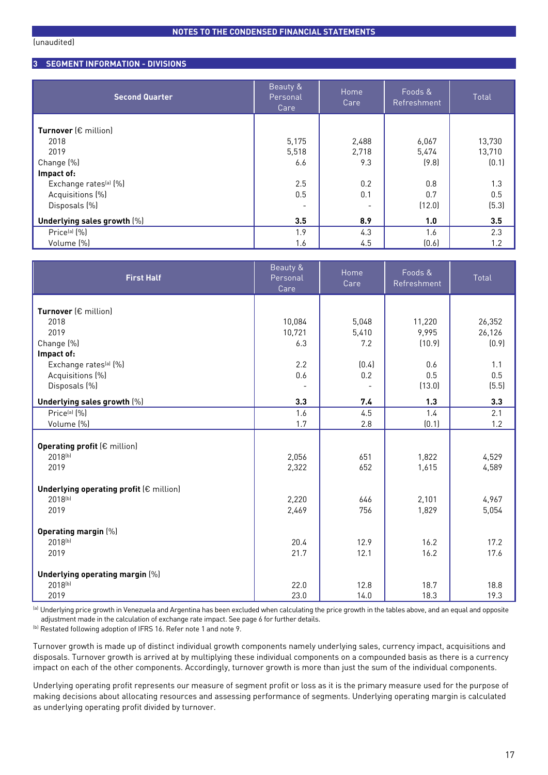# **3 SEGMENT INFORMATION - DIVISIONS**

| <b>Second Quarter</b>                        | Beauty &<br>Personal<br>Care | Home<br>Care             | Foods &<br>Refreshment | Total  |
|----------------------------------------------|------------------------------|--------------------------|------------------------|--------|
| <b>Turnover</b> $(\epsilon$ million)<br>2018 | 5,175                        | 2,488                    | 6,067                  | 13,730 |
| 2019                                         | 5,518                        | 2,718                    | 5,474                  | 13,710 |
| Change (%)<br>Impact of:                     | 6.6                          | 9.3                      | (9.8)                  | (0.1)  |
| Exchange rates <sup>[a]</sup> [%]            | 2.5                          | 0.2                      | 0.8                    | 1.3    |
| Acquisitions (%)                             | 0.5                          | 0.1                      | 0.7                    | 0.5    |
| Disposals (%)                                | $\overline{\phantom{a}}$     | $\overline{\phantom{a}}$ | (12.0)                 | (5.3)  |
| Underlying sales growth [%]                  | 3.5                          | 8.9                      | 1.0                    | 3.5    |
| Price <sup>(a)</sup> [%]                     | 1.9                          | 4.3                      | 1.6                    | 2.3    |
| Volume (%)                                   | 1.6                          | 4.5                      | (0.6)                  | 1.2    |

| <b>First Half</b>                       | Beauty &<br>Personal<br>Care | Home<br>Care | Foods &<br>Refreshment | Total  |
|-----------------------------------------|------------------------------|--------------|------------------------|--------|
|                                         |                              |              |                        |        |
| Turnover (€ million)<br>2018            | 10,084                       | 5,048        | 11,220                 | 26,352 |
| 2019                                    | 10,721                       | 5,410        | 9,995                  | 26,126 |
| Change (%)                              | 6.3                          | 7.2          | (10.9)                 | [0.9]  |
| Impact of:                              |                              |              |                        |        |
| Exchange rates <sup>[a]</sup> [%]       | 2.2                          | (0.4)        | 0.6                    | 1.1    |
| Acquisitions (%)                        | 0.6                          | 0.2          | 0.5                    | 0.5    |
| Disposals (%)                           |                              |              | (13.0)                 | (5.5)  |
| Underlying sales growth [%]             | 3.3                          | 7.4          | 1.3                    | 3.3    |
| Price <sup>(a)</sup> [%]                | 1.6                          | 4.5          | 1.4                    | 2.1    |
| Volume (%)                              | 1.7                          | 2.8          | (0.1)                  | 1.2    |
|                                         |                              |              |                        |        |
| Operating profit (€ million)            |                              |              |                        |        |
| 2018 <sup>(b)</sup>                     | 2,056                        | 651          | 1,822                  | 4,529  |
| 2019                                    | 2,322                        | 652          | 1,615                  | 4,589  |
| Underlying operating profit (€ million) |                              |              |                        |        |
| 2018 <sup>(b)</sup>                     | 2,220                        | 646          | 2,101                  | 4,967  |
| 2019                                    | 2,469                        | 756          | 1,829                  | 5,054  |
|                                         |                              |              |                        |        |
| <b>Operating margin (%)</b>             |                              |              |                        |        |
| 2018 <sup>(b)</sup>                     | 20.4                         | 12.9         | 16.2                   | 17.2   |
| 2019                                    | 21.7                         | 12.1         | 16.2                   | 17.6   |
| Underlying operating margin (%)         |                              |              |                        |        |
| 2018 <sup>(b)</sup>                     | 22.0                         | 12.8         | 18.7                   | 18.8   |
| 2019                                    | 23.0                         | 14.0         | 18.3                   | 19.3   |

<sup>(a)</sup> Underlying price growth in Venezuela and Argentina has been excluded when calculating the price growth in the tables above, and an equal and opposite adjustment made in the calculation of exchange rate impact. See page 6 for further details.

(b) Restated following adoption of IFRS 16. Refer note 1 and note 9.

Turnover growth is made up of distinct individual growth components namely underlying sales, currency impact, acquisitions and disposals. Turnover growth is arrived at by multiplying these individual components on a compounded basis as there is a currency impact on each of the other components. Accordingly, turnover growth is more than just the sum of the individual components.

Underlying operating profit represents our measure of segment profit or loss as it is the primary measure used for the purpose of making decisions about allocating resources and assessing performance of segments. Underlying operating margin is calculated as underlying operating profit divided by turnover.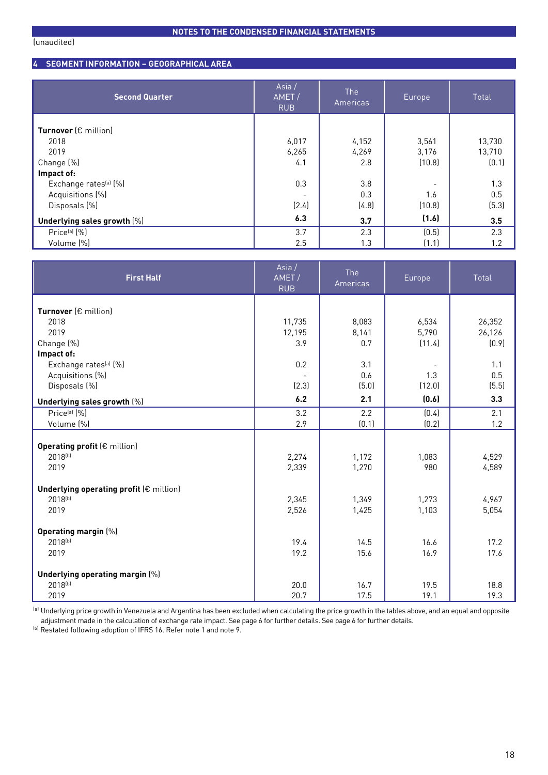**4 SEGMENT INFORMATION – GEOGRAPHICAL AREA**

| <b>Second Quarter</b>                  | Asia/<br>AMET/<br><b>RUB</b> | The<br>Americas | Europe                   | Total  |
|----------------------------------------|------------------------------|-----------------|--------------------------|--------|
| <b>Turnover</b> $\in$ million]<br>2018 | 6,017                        | 4,152           | 3,561                    | 13,730 |
| 2019                                   | 6,265                        | 4,269           | 3,176                    | 13,710 |
| Change (%)                             | 4.1                          | 2.8             | (10.8)                   | (0.1)  |
| Impact of:                             |                              |                 |                          |        |
| Exchange rates <sup>[a]</sup> [%]      | 0.3                          | 3.8             | $\overline{\phantom{a}}$ | 1.3    |
| Acquisitions (%)                       |                              | 0.3             | 1.6                      | 0.5    |
| Disposals (%)                          | (2.4)                        | (4.8)           | (10.8)                   | (5.3)  |
| Underlying sales growth [%]            | 6.3                          | 3.7             | (1.6)                    | 3.5    |
| Price <sup>(a)</sup> [%]               | 3.7                          | 2.3             | (0.5)                    | 2.3    |
| Volume (%)                             | 2.5                          | 1.3             | (1.1)                    | 1.2    |

| <b>First Half</b>                                           | Asia /<br>AMET/<br><b>RUB</b> | The<br>Americas | Europe       | Total          |
|-------------------------------------------------------------|-------------------------------|-----------------|--------------|----------------|
| Turnover (€ million)                                        |                               |                 |              |                |
| 2018                                                        | 11,735                        | 8,083           | 6,534        | 26,352         |
| 2019                                                        | 12,195                        | 8,141           | 5,790        | 26,126         |
| Change (%)                                                  | 3.9                           | 0.7             | (11.4)       | (0.9)          |
| Impact of:                                                  |                               |                 |              |                |
| Exchange rates <sup>(a)</sup> [%]                           | 0.2                           | 3.1             |              | 1.1            |
| Acquisitions (%)                                            |                               | 0.6             | 1.3          | 0.5            |
| Disposals (%)                                               | (2.3)                         | (5.0)           | (12.0)       | (5.5)          |
| Underlying sales growth [%]                                 | 6.2                           | 2.1             | (0.6)        | 3.3            |
| Price <sup>(a)</sup> [%]                                    | 3.2                           | 2.2             | [0.4]        | 2.1            |
| Volume (%)                                                  | 2.9                           | (0.1)           | (0.2)        | 1.2            |
| Operating profit (€ million)<br>2018 <sup>(b)</sup><br>2019 | 2,274<br>2,339                | 1,172<br>1,270  | 1,083<br>980 | 4,529<br>4,589 |
| Underlying operating profit (€ million)                     |                               |                 |              |                |
| 2018 <sup>(b)</sup>                                         | 2,345                         | 1,349           | 1,273        | 4,967          |
| 2019                                                        | 2,526                         | 1,425           | 1,103        | 5,054          |
| Operating margin [%]<br>2018 <sup>(b)</sup>                 | 19.4                          | 14.5            | 16.6         | 17.2           |
| 2019                                                        | 19.2                          | 15.6            | 16.9         | 17.6           |
| Underlying operating margin (%)                             |                               |                 |              |                |
| 2018 <sup>(b)</sup>                                         | 20.0                          | 16.7            | 19.5         | 18.8           |
| 2019                                                        | 20.7                          | 17.5            | 19.1         | 19.3           |

<sup>(a)</sup> Underlying price growth in Venezuela and Argentina has been excluded when calculating the price growth in the tables above, and an equal and opposite adjustment made in the calculation of exchange rate impact. See page 6 for further details. See page 6 for further details.

(b) Restated following adoption of IFRS 16. Refer note 1 and note 9.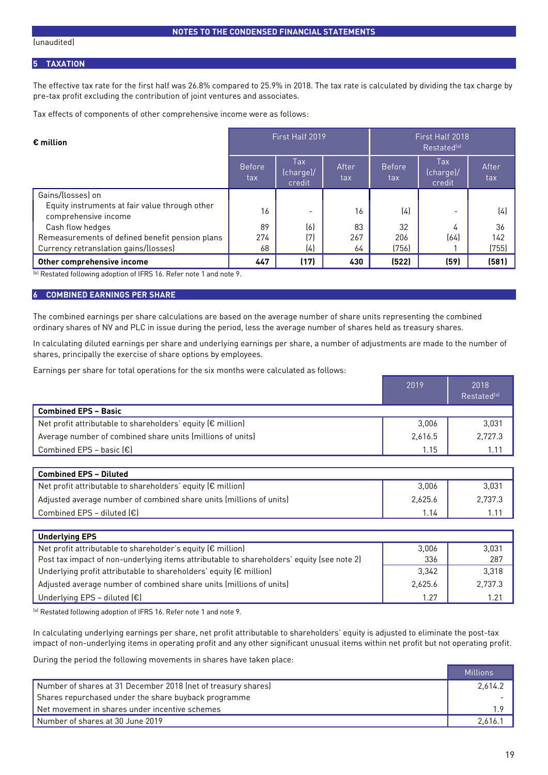#### **5 TAXATION**

The effective tax rate for the first half was 26.8% compared to 25.9% in 2018. The tax rate is calculated by dividing the tax charge by pre-tax profit excluding the contribution of joint ventures and associates.

Tax effects of components of other comprehensive income were as follows:

| $\epsilon$ million                                                     | First Half 2019      |                            |              | First Half 2018<br>Restated <sup>(a)</sup> |                            |              |
|------------------------------------------------------------------------|----------------------|----------------------------|--------------|--------------------------------------------|----------------------------|--------------|
|                                                                        | <b>Before</b><br>tax | Tax<br>(charge)/<br>credit | After<br>tax | <b>Before</b><br>tax                       | Tax<br>(charge)/<br>credit | After<br>tax |
| Gains/(losses) on                                                      |                      |                            |              |                                            |                            |              |
| Equity instruments at fair value through other<br>comprehensive income | 16                   |                            | 16           | (4)                                        |                            | (4)          |
| Cash flow hedges                                                       | 89                   | (6)                        | 83           | 32                                         | 4                          | 36           |
| Remeasurements of defined benefit pension plans                        | 274                  | (7)                        | 267          | 206                                        | (64)                       | 142          |
| Currency retranslation gains/(losses)                                  | 68                   | (4)                        | 64           | (756)                                      |                            | (755)        |
| Other comprehensive income                                             | 447                  | (17)                       | 430          | (522)                                      | (59)                       | (581)        |

(b) Restated following adoption of IFRS 16. Refer note 1 and note 9.

#### **6 COMBINED EARNINGS PER SHARE**

The combined earnings per share calculations are based on the average number of share units representing the combined ordinary shares of NV and PLC in issue during the period, less the average number of shares held as treasury shares.

In calculating diluted earnings per share and underlying earnings per share, a number of adjustments are made to the number of shares, principally the exercise of share options by employees.

Earnings per share for total operations for the six months were calculated as follows:

|                                                                       | 2019    | 2018<br>Restated <sup>(a)</sup> |
|-----------------------------------------------------------------------|---------|---------------------------------|
| <b>Combined EPS - Basic</b>                                           |         |                                 |
| Net profit attributable to shareholders' equity ( $\epsilon$ million) | 3.006   | 3.031                           |
| Average number of combined share units (millions of units)            | 2,616.5 | 2,727.3                         |
| Combined EPS - basic $(\epsilon)$                                     | 1.15    | 1.11                            |

| <b>Combined EPS - Diluted</b>                                         |         |         |
|-----------------------------------------------------------------------|---------|---------|
| Net profit attributable to shareholders' equity ( $\epsilon$ million) | 3,006   | 3,031   |
| Adjusted average number of combined share units (millions of units)   | 2,625.6 | 2.737.3 |
| Combined EPS – diluted $\left[\in\right]$                             | l.14    |         |

| <b>Underlying EPS</b>                                                                     |         |         |
|-------------------------------------------------------------------------------------------|---------|---------|
| Net profit attributable to shareholder's equity ( $\epsilon$ million)                     | 3,006   | 3.031   |
| Post tax impact of non-underlying items attributable to shareholders' equity (see note 2) | 336     | 287     |
| Underlying profit attributable to shareholders' equity (€ million)                        | 3,342   | 3,318   |
| Adjusted average number of combined share units (millions of units)                       | 2.625.6 | 2,737.3 |
| Underlying EPS - diluted $(\epsilon)$                                                     | 1.27    | 1.21    |

(a) Restated following adoption of IFRS 16. Refer note 1 and note 9.

In calculating underlying earnings per share, net profit attributable to shareholders' equity is adjusted to eliminate the post-tax impact of non-underlying items in operating profit and any other significant unusual items within net profit but not operating profit.

During the period the following movements in shares have taken place:

|                                                               | Millions |
|---------------------------------------------------------------|----------|
| Number of shares at 31 December 2018 (net of treasury shares) | 2.614.2  |
| Shares repurchased under the share buyback programme          |          |
| $^\dagger$ Net movement in shares under incentive schemes     |          |
| Number of shares at 30 June 2019                              | 2,616.1  |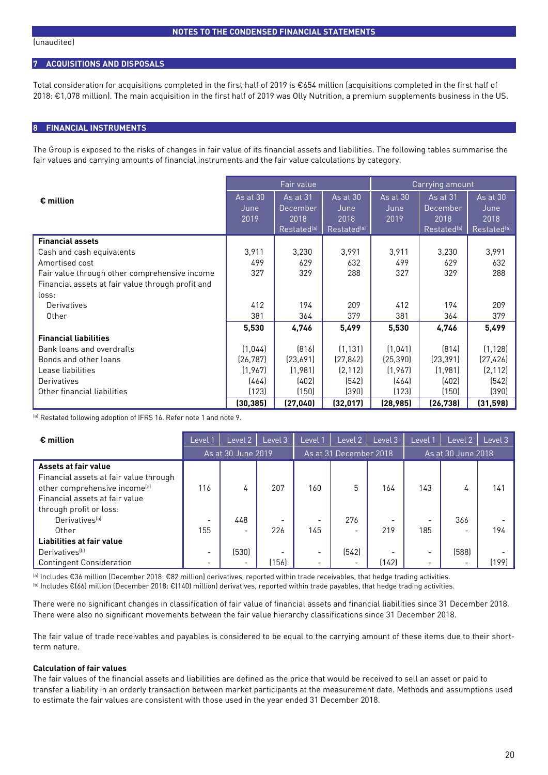#### **7 ACQUISITIONS AND DISPOSALS**

Total consideration for acquisitions completed in the first half of 2019 is €654 million (acquisitions completed in the first half of 2018: €1,078 million). The main acquisition in the first half of 2019 was Olly Nutrition, a premium supplements business in the US.

#### **8 FINANCIAL INSTRUMENTS**

The Group is exposed to the risks of changes in fair value of its financial assets and liabilities. The following tables summarise the fair values and carrying amounts of financial instruments and the fair value calculations by category.

|                                                   | Fair value |                         |                         | Carrying amount |                         |                         |  |
|---------------------------------------------------|------------|-------------------------|-------------------------|-----------------|-------------------------|-------------------------|--|
| $\epsilon$ million                                | As at $30$ | As at 31                | As at $30$              | As at $30$      | <b>As at 31</b>         | As at $30$              |  |
|                                                   | June       | December                | June                    | June            | December                | June                    |  |
|                                                   | 2019       | 2018                    | 2018                    | 2019            | 2018                    | 2018                    |  |
|                                                   |            | Restated <sup>(a)</sup> | Restated <sup>(a)</sup> |                 | Restated <sup>(a)</sup> | Restated <sup>(a)</sup> |  |
| <b>Financial assets</b>                           |            |                         |                         |                 |                         |                         |  |
| Cash and cash equivalents                         | 3,911      | 3,230                   | 3,991                   | 3,911           | 3,230                   | 3,991                   |  |
| Amortised cost                                    | 499        | 629                     | 632                     | 499             | 629                     | 632                     |  |
| Fair value through other comprehensive income     | 327        | 329                     | 288                     | 327             | 329                     | 288                     |  |
| Financial assets at fair value through profit and |            |                         |                         |                 |                         |                         |  |
| loss:                                             |            |                         |                         |                 |                         |                         |  |
| Derivatives                                       | 412        | 194                     | 209                     | 412             | 194                     | 209                     |  |
| Other                                             | 381        | 364                     | 379                     | 381             | 364                     | 379                     |  |
|                                                   | 5,530      | 4,746                   | 5,499                   | 5,530           | 4,746                   | 5,499                   |  |
| <b>Financial liabilities</b>                      |            |                         |                         |                 |                         |                         |  |
| Bank loans and overdrafts                         | (1,044)    | [816]                   | (1, 131)                | (1.041)         | [814]                   | (1, 128)                |  |
| Bonds and other loans                             | [26.787]   | [23,691]                | (27, 842)               | (25, 390)       | (23, 391)               | (27, 426)               |  |
| Lease liabilities                                 | (1,967)    | (1,981)                 | (2, 112)                | (1,967)         | (1,981)                 | (2, 112)                |  |
| Derivatives                                       | (464)      | (402)                   | (542)                   | (464)           | (402)                   | (542)                   |  |
| Other financial liabilities                       | (123)      | (150)                   | (390)                   | (123)           | (150)                   | (390)                   |  |
|                                                   | (30, 385)  | (27, 040)               | (32,017)                | (28, 985)       | (26, 738)               | (31, 598)               |  |

(a) Restated following adoption of IFRS 16. Refer note 1 and note 9.

| $\epsilon$ million                        | Level 1                  | Level 2            | Level 3                  | Level 1                  | Level 2                      | Level 3 | Level 1                  | Level 2                  | Level 3 |
|-------------------------------------------|--------------------------|--------------------|--------------------------|--------------------------|------------------------------|---------|--------------------------|--------------------------|---------|
|                                           |                          | As at 30 June 2019 |                          |                          | As at 31 December 2018       |         |                          | As at 30 June 2018       |         |
| Assets at fair value                      |                          |                    |                          |                          |                              |         |                          |                          |         |
| Financial assets at fair value through    |                          |                    |                          |                          |                              |         |                          |                          |         |
| other comprehensive income <sup>(a)</sup> | 116                      | 4                  | 207                      | 160                      | 5                            | 164     | 143                      | 4                        | 141     |
| Financial assets at fair value            |                          |                    |                          |                          |                              |         |                          |                          |         |
| through profit or loss:                   |                          |                    |                          |                          |                              |         |                          |                          |         |
| Derivatives <sup>[a]</sup>                |                          | 448                |                          | $\overline{\phantom{a}}$ | 276                          |         | ۰                        | 366                      |         |
| Other                                     | 155                      |                    | 226                      | 145                      | $\overline{\phantom{0}}$     | 219     | 185                      |                          | 194     |
| Liabilities at fair value                 |                          |                    |                          |                          |                              |         |                          |                          |         |
| Derivatives <sup>(b)</sup>                | $\overline{\phantom{0}}$ | (530)              | $\overline{\phantom{0}}$ | $\overline{\phantom{a}}$ | (542)                        |         | $\overline{\phantom{0}}$ | (588)                    |         |
| <b>Contingent Consideration</b>           | -                        | -                  | (156)                    | $\overline{\phantom{a}}$ | $\qquad \qquad \blacksquare$ | (142)   | $\overline{\phantom{a}}$ | $\overline{\phantom{0}}$ | [199]   |

(a) Includes €36 million (December 2018: €82 million) derivatives, reported within trade receivables, that hedge trading activities. (b) Includes €(66) million (December 2018: €(140) million) derivatives, reported within trade payables, that hedge trading activities.

There were no significant changes in classification of fair value of financial assets and financial liabilities since 31 December 2018. There were also no significant movements between the fair value hierarchy classifications since 31 December 2018.

The fair value of trade receivables and payables is considered to be equal to the carrying amount of these items due to their shortterm nature.

#### **Calculation of fair values**

The fair values of the financial assets and liabilities are defined as the price that would be received to sell an asset or paid to transfer a liability in an orderly transaction between market participants at the measurement date. Methods and assumptions used to estimate the fair values are consistent with those used in the year ended 31 December 2018.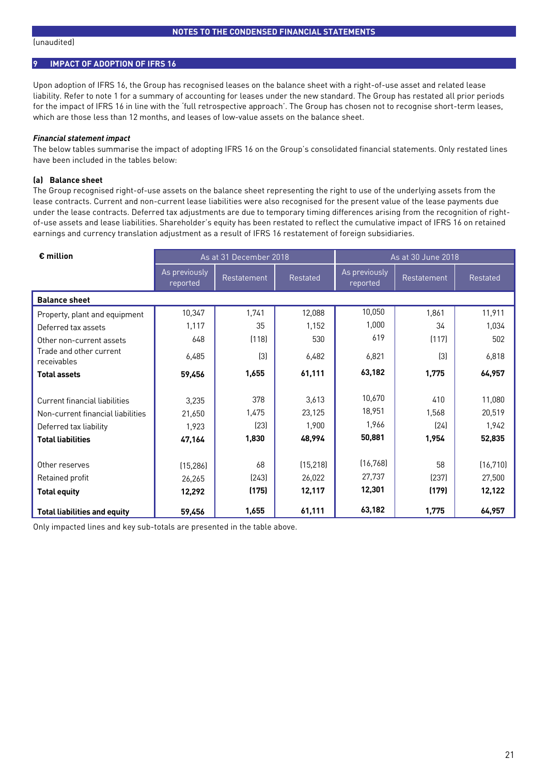# **9 IMPACT OF ADOPTION OF IFRS 16**

Upon adoption of IFRS 16, the Group has recognised leases on the balance sheet with a right-of-use asset and related lease liability. Refer to note 1 for a summary of accounting for leases under the new standard. The Group has restated all prior periods for the impact of IFRS 16 in line with the 'full retrospective approach'. The Group has chosen not to recognise short-term leases, which are those less than 12 months, and leases of low-value assets on the balance sheet.

#### *Financial statement impact*

The below tables summarise the impact of adopting IFRS 16 on the Group's consolidated financial statements. Only restated lines have been included in the tables below:

## **(a) Balance sheet**

The Group recognised right-of-use assets on the balance sheet representing the right to use of the underlying assets from the lease contracts. Current and non-current lease liabilities were also recognised for the present value of the lease payments due under the lease contracts. Deferred tax adjustments are due to temporary timing differences arising from the recognition of rightof-use assets and lease liabilities. Shareholder's equity has been restated to reflect the cumulative impact of IFRS 16 on retained earnings and currency translation adjustment as a result of IFRS 16 restatement of foreign subsidiaries.

| $\epsilon$ million                     |                           | As at 31 December 2018 |           | As at 30 June 2018        |             |           |
|----------------------------------------|---------------------------|------------------------|-----------|---------------------------|-------------|-----------|
|                                        | As previously<br>reported | Restatement            | Restated  | As previously<br>reported | Restatement | Restated  |
| <b>Balance sheet</b>                   |                           |                        |           |                           |             |           |
| Property, plant and equipment          | 10,347                    | 1,741                  | 12,088    | 10,050                    | 1,861       | 11,911    |
| Deferred tax assets                    | 1,117                     | 35                     | 1,152     | 1,000                     | 34          | 1,034     |
| Other non-current assets               | 648                       | (118)                  | 530       | 619                       | (117)       | 502       |
| Trade and other current<br>receivables | 6,485                     | $[3]$                  | 6,482     | 6,821                     | $[3]$       | 6,818     |
| <b>Total assets</b>                    | 59,456                    | 1,655                  | 61,111    | 63,182                    | 1,775       | 64,957    |
|                                        |                           |                        |           |                           |             |           |
| <b>Current financial liabilities</b>   | 3,235                     | 378                    | 3,613     | 10,670                    | 410         | 11,080    |
| Non-current financial liabilities      | 21,650                    | 1,475                  | 23,125    | 18,951                    | 1,568       | 20,519    |
| Deferred tax liability                 | 1.923                     | (23)                   | 1,900     | 1,966                     | (24)        | 1,942     |
| <b>Total liabilities</b>               | 47,164                    | 1,830                  | 48,994    | 50,881                    | 1,954       | 52,835    |
|                                        |                           |                        |           |                           |             |           |
| Other reserves                         | (15, 286)                 | 68                     | (15, 218) | (16, 768)                 | 58          | (16, 710) |
| Retained profit                        | 26,265                    | [243]                  | 26,022    | 27,737                    | (237)       | 27,500    |
| <b>Total equity</b>                    | 12,292                    | (175)                  | 12,117    | 12,301                    | (179)       | 12,122    |
| <b>Total liabilities and equity</b>    | 59,456                    | 1,655                  | 61,111    | 63,182                    | 1,775       | 64,957    |

Only impacted lines and key sub-totals are presented in the table above.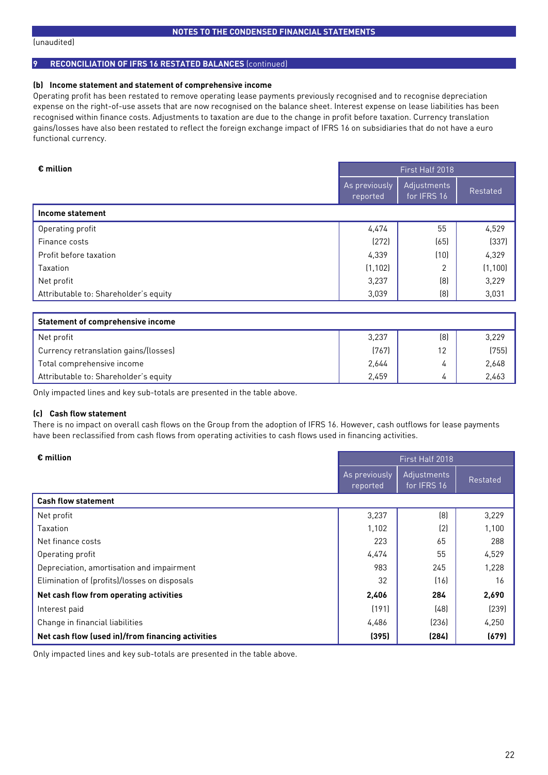## **9 RECONCILIATION OF IFRS 16 RESTATED BALANCES** (continued)

#### **(b) Income statement and statement of comprehensive income**

Operating profit has been restated to remove operating lease payments previously recognised and to recognise depreciation expense on the right-of-use assets that are now recognised on the balance sheet. Interest expense on lease liabilities has been recognised within finance costs. Adjustments to taxation are due to the change in profit before taxation. Currency translation gains/losses have also been restated to reflect the foreign exchange impact of IFRS 16 on subsidiaries that do not have a euro functional currency.

| $\epsilon$ million                    | First Half 2018           |                            |          |
|---------------------------------------|---------------------------|----------------------------|----------|
|                                       | As previously<br>reported | Adjustments<br>for IFRS 16 | Restated |
| Income statement                      |                           |                            |          |
| Operating profit                      | 4,474                     | 55                         | 4,529    |
| Finance costs                         | (272)                     | (65)                       | (337)    |
| Profit before taxation                | 4,339                     | (10)                       | 4,329    |
| Taxation                              | (1, 102)                  | 2                          | (1, 100) |
| Net profit                            | 3,237                     | (8)                        | 3,229    |
| Attributable to: Shareholder's equity | 3,039                     | (8)                        | 3,031    |

| <b>Statement of comprehensive income</b> |       |     |       |
|------------------------------------------|-------|-----|-------|
| Net profit                               | 3,237 | (8) | 3,229 |
| Currency retranslation gains/(losses)    | (767) | 12  | (755) |
| Total comprehensive income               | 2.644 | 4   | 2,648 |
| Attributable to: Shareholder's equity    | 2.459 | 4   | 2,463 |

Only impacted lines and key sub-totals are presented in the table above.

#### **(c) Cash flow statement**

There is no impact on overall cash flows on the Group from the adoption of IFRS 16. However, cash outflows for lease payments have been reclassified from cash flows from operating activities to cash flows used in financing activities.

| $\epsilon$ million                                | First Half 2018           |                            |          |
|---------------------------------------------------|---------------------------|----------------------------|----------|
|                                                   | As previously<br>reported | Adjustments<br>for IFRS 16 | Restated |
| <b>Cash flow statement</b>                        |                           |                            |          |
| Net profit                                        | 3,237                     | (8)                        | 3,229    |
| Taxation                                          | 1,102                     | (2)                        | 1,100    |
| Net finance costs                                 | 223                       | 65                         | 288      |
| Operating profit                                  | 4,474                     | 55                         | 4,529    |
| Depreciation, amortisation and impairment         | 983                       | 245                        | 1,228    |
| Elimination of (profits)/losses on disposals      | 32                        | (16)                       | 16       |
| Net cash flow from operating activities           | 2,406                     | 284                        | 2,690    |
| Interest paid                                     | (191)                     | (48)                       | (239)    |
| Change in financial liabilities                   | 4,486                     | (236)                      | 4,250    |
| Net cash flow (used in)/from financing activities | (395)                     | (284)                      | (679)    |

Only impacted lines and key sub-totals are presented in the table above.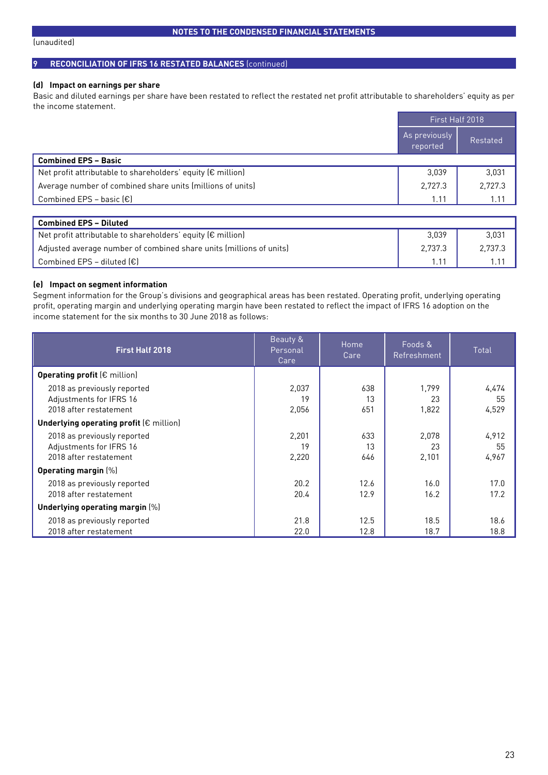## **9 RECONCILIATION OF IFRS 16 RESTATED BALANCES** (continued)

### **(d) Impact on earnings per share**

Basic and diluted earnings per share have been restated to reflect the restated net profit attributable to shareholders' equity as per the income statement.

|                                                             | First Half 2018           |          |
|-------------------------------------------------------------|---------------------------|----------|
|                                                             | As previously<br>reported | Restated |
| <b>Combined EPS - Basic</b>                                 |                           |          |
| Net profit attributable to shareholders' equity (€ million) | 3,039                     | 3,031    |
| Average number of combined share units (millions of units)  | 2,727.3                   | 2.727.3  |
| Combined EPS - basic $(\epsilon)$                           | 1.11                      | 1.11     |

| <b>Combined EPS - Diluted</b>                                        |         |         |
|----------------------------------------------------------------------|---------|---------|
| Net profit attributable to shareholders' equity $(\epsilon$ million) | 3,039   | 3,031   |
| Adjusted average number of combined share units (millions of units)  | 2.737.3 | 2.737.3 |
| Combined EPS – diluted $\left[\in\right]$                            |         |         |

## **(e) Impact on segment information**

Segment information for the Group's divisions and geographical areas has been restated. Operating profit, underlying operating profit, operating margin and underlying operating margin have been restated to reflect the impact of IFRS 16 adoption on the income statement for the six months to 30 June 2018 as follows:

| <b>First Half 2018</b>                                                           | Beauty &<br>Personal<br>Care | <b>Home</b><br>Care | Foods &<br>Refreshment | Total                |
|----------------------------------------------------------------------------------|------------------------------|---------------------|------------------------|----------------------|
| <b>Operating profit (</b> $\epsilon$ million)                                    |                              |                     |                        |                      |
| 2018 as previously reported<br>Adjustments for IFRS 16<br>2018 after restatement | 2,037<br>19<br>2,056         | 638<br>13<br>651    | 1.799<br>23<br>1,822   | 4.474<br>55<br>4,529 |
| Underlying operating profit $(\epsilon$ million)                                 |                              |                     |                        |                      |
| 2018 as previously reported<br>Adjustments for IFRS 16<br>2018 after restatement | 2,201<br>19<br>2,220         | 633<br>13<br>646    | 2,078<br>23<br>2,101   | 4,912<br>55<br>4.967 |
| <b>Operating margin (%)</b>                                                      |                              |                     |                        |                      |
| 2018 as previously reported<br>2018 after restatement                            | 20.2<br>20.4                 | 12.6<br>12.9        | 16.0<br>16.2           | 17.0<br>17.2         |
| Underlying operating margin (%)                                                  |                              |                     |                        |                      |
| 2018 as previously reported<br>2018 after restatement                            | 21.8<br>22.0                 | 12.5<br>12.8        | 18.5<br>18.7           | 18.6<br>18.8         |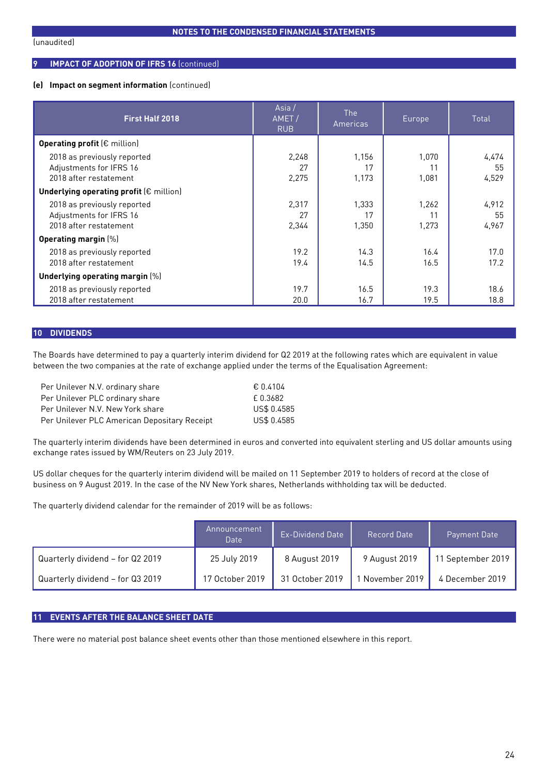## **9 IMPACT OF ADOPTION OF IFRS 16** (continued)

## **(e) Impact on segment information** (continued)

| <b>First Half 2018</b>                                                           | Asia /<br>AMET /<br><b>RUB</b> | <b>The</b><br>Americas | <b>Europe</b>        | Total                |
|----------------------------------------------------------------------------------|--------------------------------|------------------------|----------------------|----------------------|
| Operating profit $(\epsilon$ million)                                            |                                |                        |                      |                      |
| 2018 as previously reported<br>Adjustments for IFRS 16<br>2018 after restatement | 2,248<br>27<br>2,275           | 1,156<br>17<br>1,173   | 1.070<br>11<br>1,081 | 4,474<br>55<br>4,529 |
| Underlying operating profit $(\epsilon$ million)                                 |                                |                        |                      |                      |
| 2018 as previously reported<br>Adjustments for IFRS 16<br>2018 after restatement | 2.317<br>27<br>2,344           | 1.333<br>17<br>1,350   | 1.262<br>11<br>1,273 | 4,912<br>55<br>4,967 |
| <b>Operating margin (%)</b>                                                      |                                |                        |                      |                      |
| 2018 as previously reported<br>2018 after restatement                            | 19.2<br>19.4                   | 14.3<br>14.5           | 16.4<br>16.5         | 17.0<br>17.2         |
| Underlying operating margin [%]                                                  |                                |                        |                      |                      |
| 2018 as previously reported<br>2018 after restatement                            | 19.7<br>20.0                   | 16.5<br>16.7           | 19.3<br>19.5         | 18.6<br>18.8         |

#### **10 DIVIDENDS**

The Boards have determined to pay a quarterly interim dividend for Q2 2019 at the following rates which are equivalent in value between the two companies at the rate of exchange applied under the terms of the Equalisation Agreement:

| Per Unilever N.V. ordinary share             | € 0.4104    |
|----------------------------------------------|-------------|
| Per Unilever PLC ordinary share              | £ 0.3682    |
| Per Unilever N.V. New York share             | US\$ 0.4585 |
| Per Unilever PLC American Depositary Receipt | US\$ 0.4585 |
|                                              |             |

The quarterly interim dividends have been determined in euros and converted into equivalent sterling and US dollar amounts using exchange rates issued by WM/Reuters on 23 July 2019.

US dollar cheques for the quarterly interim dividend will be mailed on 11 September 2019 to holders of record at the close of business on 9 August 2019. In the case of the NV New York shares, Netherlands withholding tax will be deducted.

The quarterly dividend calendar for the remainder of 2019 will be as follows:

|                                  | Announcement<br><b>Date</b> | 'Ex-Dividend Date i | Record Date   | <b>Payment Date</b> |
|----------------------------------|-----------------------------|---------------------|---------------|---------------------|
| Quarterly dividend - for Q2 2019 | 25 July 2019                | 8 August 2019       | 9 August 2019 | 11 September 2019   |
| Quarterly dividend - for Q3 2019 | 17 October 2019             | 31 October 2019     | November 2019 | 4 December 2019     |

#### **11 EVENTS AFTER THE BALANCE SHEET DATE**

There were no material post balance sheet events other than those mentioned elsewhere in this report.